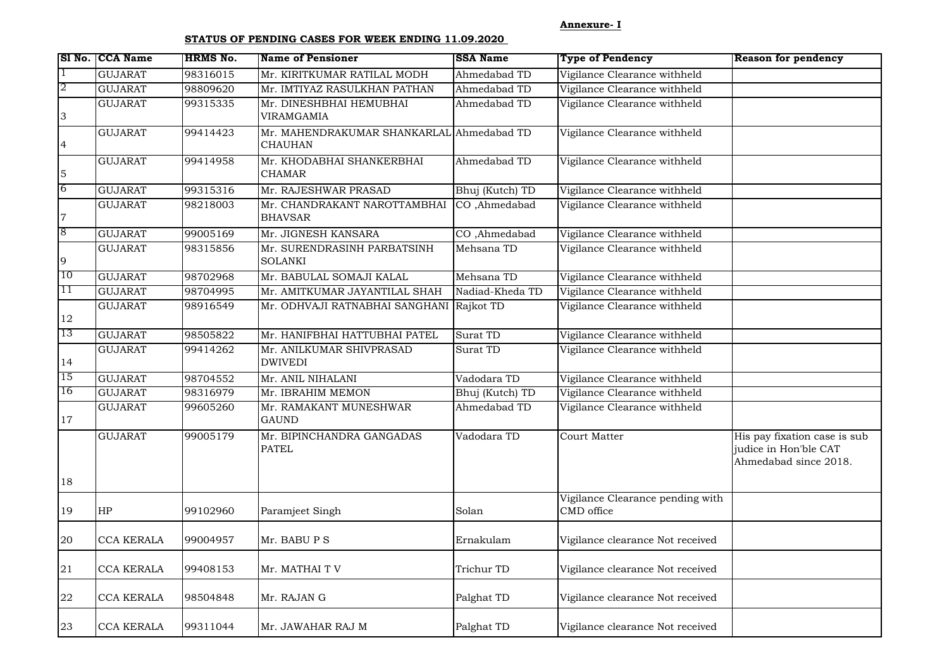**Annexure- I**

## **STATUS OF PENDING CASES FOR WEEK ENDING 11.09.2020**

|                 | SI No. CCA Name   | <b>HRMS No.</b> | <b>Name of Pensioner</b>                                    | <b>SSA Name</b> | <b>Type of Pendency</b>                        | <b>Reason for pendency</b>                                                     |
|-----------------|-------------------|-----------------|-------------------------------------------------------------|-----------------|------------------------------------------------|--------------------------------------------------------------------------------|
| $\mathbf 1$     | <b>GUJARAT</b>    | 98316015        | Mr. KIRITKUMAR RATILAL MODH                                 | Ahmedabad TD    | Vigilance Clearance withheld                   |                                                                                |
| 2               | <b>GUJARAT</b>    | 98809620        | Mr. IMTIYAZ RASULKHAN PATHAN                                | Ahmedabad TD    | Vigilance Clearance withheld                   |                                                                                |
| $\overline{3}$  | <b>GUJARAT</b>    | 99315335        | Mr. DINESHBHAI HEMUBHAI<br>VIRAMGAMIA                       | Ahmedabad TD    | Vigilance Clearance withheld                   |                                                                                |
| $\overline{4}$  | <b>GUJARAT</b>    | 99414423        | Mr. MAHENDRAKUMAR SHANKARLAL Ahmedabad TD<br><b>CHAUHAN</b> |                 | Vigilance Clearance withheld                   |                                                                                |
| 5               | <b>GUJARAT</b>    | 99414958        | Mr. KHODABHAI SHANKERBHAI<br><b>CHAMAR</b>                  | Ahmedabad TD    | Vigilance Clearance withheld                   |                                                                                |
| $6\overline{6}$ | <b>GUJARAT</b>    | 99315316        | Mr. RAJESHWAR PRASAD                                        | Bhuj (Kutch) TD | Vigilance Clearance withheld                   |                                                                                |
| $\overline{7}$  | <b>GUJARAT</b>    | 98218003        | Mr. CHANDRAKANT NAROTTAMBHAI<br><b>BHAVSAR</b>              | CO ,Ahmedabad   | Vigilance Clearance withheld                   |                                                                                |
| 8               | <b>GUJARAT</b>    | 99005169        | Mr. JIGNESH KANSARA                                         | CO ,Ahmedabad   | Vigilance Clearance withheld                   |                                                                                |
| $\overline{9}$  | <b>GUJARAT</b>    | 98315856        | Mr. SURENDRASINH PARBATSINH<br><b>SOLANKI</b>               | Mehsana TD      | Vigilance Clearance withheld                   |                                                                                |
| 10              | <b>GUJARAT</b>    | 98702968        | Mr. BABULAL SOMAJI KALAL                                    | Mehsana TD      | Vigilance Clearance withheld                   |                                                                                |
| 11              | <b>GUJARAT</b>    | 98704995        | Mr. AMITKUMAR JAYANTILAL SHAH                               | Nadiad-Kheda TD | Vigilance Clearance withheld                   |                                                                                |
| 12              | <b>GUJARAT</b>    | 98916549        | Mr. ODHVAJI RATNABHAI SANGHANI Rajkot TD                    |                 | Vigilance Clearance withheld                   |                                                                                |
| 13              | <b>GUJARAT</b>    | 98505822        | Mr. HANIFBHAI HATTUBHAI PATEL                               | Surat TD        | Vigilance Clearance withheld                   |                                                                                |
| 14              | <b>GUJARAT</b>    | 99414262        | Mr. ANILKUMAR SHIVPRASAD<br><b>DWIVEDI</b>                  | Surat TD        | Vigilance Clearance withheld                   |                                                                                |
| 15              | <b>GUJARAT</b>    | 98704552        | Mr. ANIL NIHALANI                                           | Vadodara TD     | Vigilance Clearance withheld                   |                                                                                |
| 16              | <b>GUJARAT</b>    | 98316979        | Mr. IBRAHIM MEMON                                           | Bhuj (Kutch) TD | Vigilance Clearance withheld                   |                                                                                |
| 17              | <b>GUJARAT</b>    | 99605260        | Mr. RAMAKANT MUNESHWAR<br><b>GAUND</b>                      | Ahmedabad TD    | Vigilance Clearance withheld                   |                                                                                |
|                 | <b>GUJARAT</b>    | 99005179        | Mr. BIPINCHANDRA GANGADAS<br><b>PATEL</b>                   | Vadodara TD     | Court Matter                                   | His pay fixation case is sub<br>judice in Hon'ble CAT<br>Ahmedabad since 2018. |
| 18              |                   |                 |                                                             |                 |                                                |                                                                                |
| 19              | HP                | 99102960        | Paramjeet Singh                                             | Solan           | Vigilance Clearance pending with<br>CMD office |                                                                                |
| 20              | CCA KERALA        | 99004957        | Mr. BABU P S                                                | Ernakulam       | Vigilance clearance Not received               |                                                                                |
| 21              | CCA KERALA        | 99408153        | Mr. MATHAI T V                                              | Trichur TD      | Vigilance clearance Not received               |                                                                                |
| 22              | <b>CCA KERALA</b> | 98504848        | Mr. RAJAN G                                                 | Palghat TD      | Vigilance clearance Not received               |                                                                                |
| 23              | <b>CCA KERALA</b> | 99311044        | Mr. JAWAHAR RAJ M                                           | Palghat TD      | Vigilance clearance Not received               |                                                                                |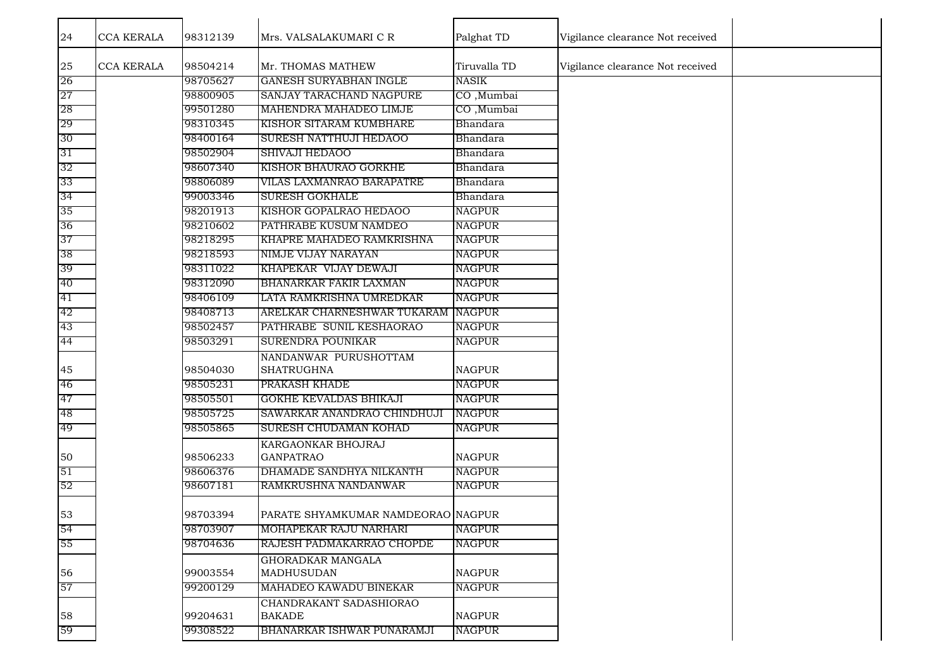| 24 | <b>CCA KERALA</b> | 98312139 | Mrs. VALSALAKUMARI C R                     | Palghat TD    | Vigilance clearance Not received |  |
|----|-------------------|----------|--------------------------------------------|---------------|----------------------------------|--|
| 25 | <b>CCA KERALA</b> | 98504214 | Mr. THOMAS MATHEW                          | Tiruvalla TD  | Vigilance clearance Not received |  |
| 26 |                   | 98705627 | <b>GANESH SURYABHAN INGLE</b>              | <b>NASIK</b>  |                                  |  |
| 27 |                   | 98800905 | SANJAY TARACHAND NAGPURE                   | CO, Mumbai    |                                  |  |
| 28 |                   | 99501280 | MAHENDRA MAHADEO LIMJE                     | CO, Mumbai    |                                  |  |
| 29 |                   | 98310345 | KISHOR SITARAM KUMBHARE                    | Bhandara      |                                  |  |
| 30 |                   | 98400164 | SURESH NATTHUJI HEDAOO                     | Bhandara      |                                  |  |
| 31 |                   | 98502904 | <b>SHIVAJI HEDAOO</b>                      | Bhandara      |                                  |  |
| 32 |                   | 98607340 | KISHOR BHAURAO GORKHE                      | Bhandara      |                                  |  |
| 33 |                   | 98806089 | VILAS LAXMANRAO BARAPATRE                  | Bhandara      |                                  |  |
| 34 |                   | 99003346 | <b>SURESH GOKHALE</b>                      | Bhandara      |                                  |  |
| 35 |                   | 98201913 | KISHOR GOPALRAO HEDAOO                     | NAGPUR        |                                  |  |
| 36 |                   | 98210602 | PATHRABE KUSUM NAMDEO                      | NAGPUR        |                                  |  |
| 37 |                   | 98218295 | KHAPRE MAHADEO RAMKRISHNA                  | <b>NAGPUR</b> |                                  |  |
| 38 |                   | 98218593 | NIMJE VIJAY NARAYAN                        | <b>NAGPUR</b> |                                  |  |
| 39 |                   | 98311022 | KHAPEKAR VIJAY DEWAJI                      | NAGPUR        |                                  |  |
| 40 |                   | 98312090 | <b>BHANARKAR FAKIR LAXMAN</b>              | NAGPUR        |                                  |  |
| 41 |                   | 98406109 | LATA RAMKRISHNA UMREDKAR                   | NAGPUR        |                                  |  |
| 42 |                   | 98408713 | ARELKAR CHARNESHWAR TUKARAM NAGPUR         |               |                                  |  |
| 43 |                   | 98502457 | PATHRABE SUNIL KESHAORAO                   | <b>NAGPUR</b> |                                  |  |
| 44 |                   | 98503291 | <b>SURENDRA POUNIKAR</b>                   | <b>NAGPUR</b> |                                  |  |
| 45 |                   | 98504030 | NANDANWAR PURUSHOTTAM<br><b>SHATRUGHNA</b> | <b>NAGPUR</b> |                                  |  |
| 46 |                   | 98505231 | PRAKASH KHADE                              | NAGPUR        |                                  |  |
| 47 |                   | 98505501 | GOKHE KEVALDAS BHIKAJI                     | <b>NAGPUR</b> |                                  |  |
| 48 |                   | 98505725 | SAWARKAR ANANDRAO CHINDHUJI                | NAGPUR        |                                  |  |
| 49 |                   | 98505865 | SURESH CHUDAMAN KOHAD                      | <b>NAGPUR</b> |                                  |  |
| 50 |                   | 98506233 | KARGAONKAR BHOJRAJ<br><b>GANPATRAO</b>     | <b>NAGPUR</b> |                                  |  |
| 51 |                   | 98606376 | DHAMADE SANDHYA NILKANTH                   | NAGPUR        |                                  |  |
| 52 |                   | 98607181 | RAMKRUSHNA NANDANWAR                       | <b>NAGPUR</b> |                                  |  |
| 53 |                   | 98703394 | PARATE SHYAMKUMAR NAMDEORAO NAGPUR         |               |                                  |  |
| 54 |                   | 98703907 | MOHAPEKAR RAJU NARHARI                     | <b>NAGPUR</b> |                                  |  |
| 55 |                   | 98704636 | RAJESH PADMAKARRAO CHOPDE                  | <b>NAGPUR</b> |                                  |  |
|    |                   |          | GHORADKAR MANGALA                          |               |                                  |  |
| 56 |                   | 99003554 | MADHUSUDAN                                 | <b>NAGPUR</b> |                                  |  |
| 57 |                   | 99200129 | MAHADEO KAWADU BINEKAR                     | <b>NAGPUR</b> |                                  |  |
|    |                   |          | CHANDRAKANT SADASHIORAO                    |               |                                  |  |
| 58 |                   | 99204631 | <b>BAKADE</b>                              | <b>NAGPUR</b> |                                  |  |
| 59 |                   | 99308522 | BHANARKAR ISHWAR PUNARAMJI                 | NAGPUR        |                                  |  |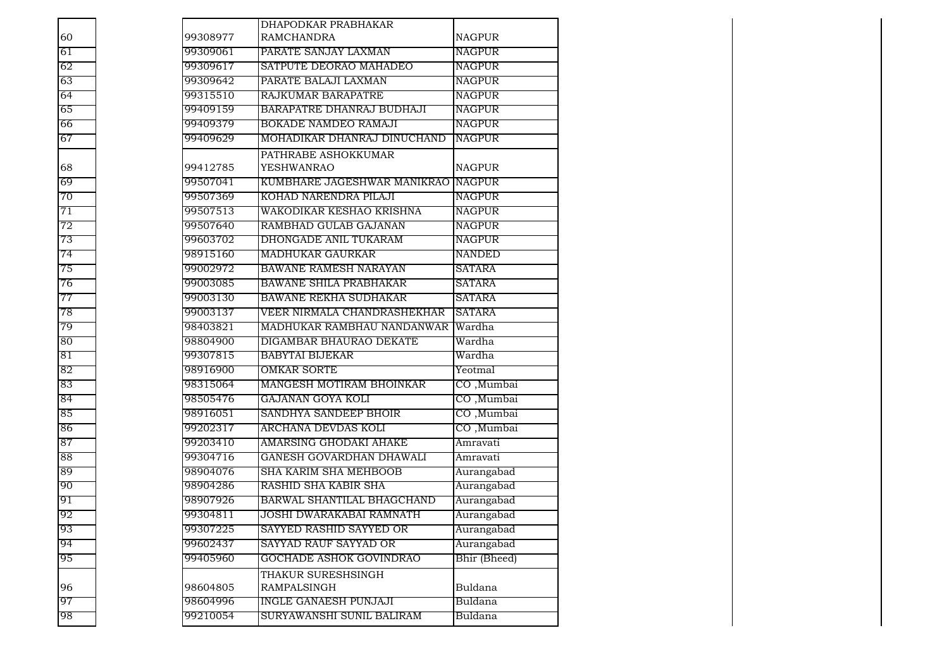|    |          | DHAPODKAR PRABHAKAR                      |               |
|----|----------|------------------------------------------|---------------|
| 60 | 99308977 | <b>RAMCHANDRA</b>                        | <b>NAGPUR</b> |
| 61 | 99309061 | PARATE SANJAY LAXMAN                     | <b>NAGPUR</b> |
| 62 | 99309617 | SATPUTE DEORAO MAHADEO                   | <b>NAGPUR</b> |
| 63 | 99309642 | PARATE BALAJI LAXMAN                     | <b>NAGPUR</b> |
| 64 | 99315510 | RAJKUMAR BARAPATRE                       | <b>NAGPUR</b> |
| 65 | 99409159 | BARAPATRE DHANRAJ BUDHAJI                | NAGPUR        |
| 66 | 99409379 | <b>BOKADE NAMDEO RAMAJI</b>              | NAGPUR        |
| 67 | 99409629 | MOHADIKAR DHANRAJ DINUCHAND              | <b>NAGPUR</b> |
| 68 | 99412785 | PATHRABE ASHOKKUMAR<br><b>YESHWANRAO</b> | <b>NAGPUR</b> |
| 69 | 99507041 | KUMBHARE JAGESHWAR MANIKRAO NAGPUR       |               |
| 70 | 99507369 | KOHAD NARENDRA PILAJI                    | <b>NAGPUR</b> |
| 71 | 99507513 | WAKODIKAR KESHAO KRISHNA                 | NAGPUR        |
| 72 | 99507640 | RAMBHAD GULAB GAJANAN                    | <b>NAGPUR</b> |
| 73 | 99603702 | DHONGADE ANIL TUKARAM                    | <b>NAGPUR</b> |
| 74 | 98915160 | <b>MADHUKAR GAURKAR</b>                  | <b>NANDED</b> |
| 75 | 99002972 | <b>BAWANE RAMESH NARAYAN</b>             | <b>SATARA</b> |
| 76 | 99003085 | <b>BAWANE SHILA PRABHAKAR</b>            | <b>SATARA</b> |
| 77 | 99003130 | <b>BAWANE REKHA SUDHAKAR</b>             | SATARA        |
| 78 | 99003137 | VEER NIRMALA CHANDRASHEKHAR              | <b>SATARA</b> |
| 79 | 98403821 | MADHUKAR RAMBHAU NANDANWAR               | Wardha        |
| 80 | 98804900 | DIGAMBAR BHAURAO DEKATE                  | Wardha        |
| 81 | 99307815 | <b>BABYTAI BIJEKAR</b>                   | Wardha        |
| 82 | 98916900 | <b>OMKAR SORTE</b>                       | Yeotmal       |
| 83 | 98315064 | MANGESH MOTIRAM BHOINKAR                 | CO, Mumbai    |
| 84 | 98505476 | GAJANAN GOYA KOLI                        | CO, Mumbai    |
| 85 | 98916051 | SANDHYA SANDEEP BHOIR                    | CO, Mumbai    |
| 86 | 99202317 | ARCHANA DEVDAS KOLI                      | CO, Mumbai    |
| 87 | 99203410 | AMARSING GHODAKI AHAKE                   | Amravati      |
| 88 | 99304716 | GANESH GOVARDHAN DHAWALI                 | Amravati      |
| 89 | 98904076 | SHA KARIM SHA MEHBOOB                    | Aurangabad    |
| 90 | 98904286 | RASHID SHA KABIR SHA                     | Aurangabad    |
| 91 | 98907926 | BARWAL SHANTILAL BHAGCHAND               | Aurangabad    |
| 92 | 99304811 | JOSHI DWARAKABAI RAMNATH                 | Aurangabad    |
| 93 | 99307225 | SAYYED RASHID SAYYED OR                  | Aurangabad    |
| 94 | 99602437 | SAYYAD RAUF SAYYAD OR                    | Aurangabad    |
| 95 | 99405960 | GOCHADE ASHOK GOVINDRAO                  | Bhir (Bheed)  |
|    |          | THAKUR SURESHSINGH                       |               |
| 96 | 98604805 | RAMPALSINGH                              | Buldana       |
| 97 | 98604996 | <b>INGLE GANAESH PUNJAJI</b>             | Buldana       |
| 98 | 99210054 | SURYAWANSHI SUNIL BALIRAM                | Buldana       |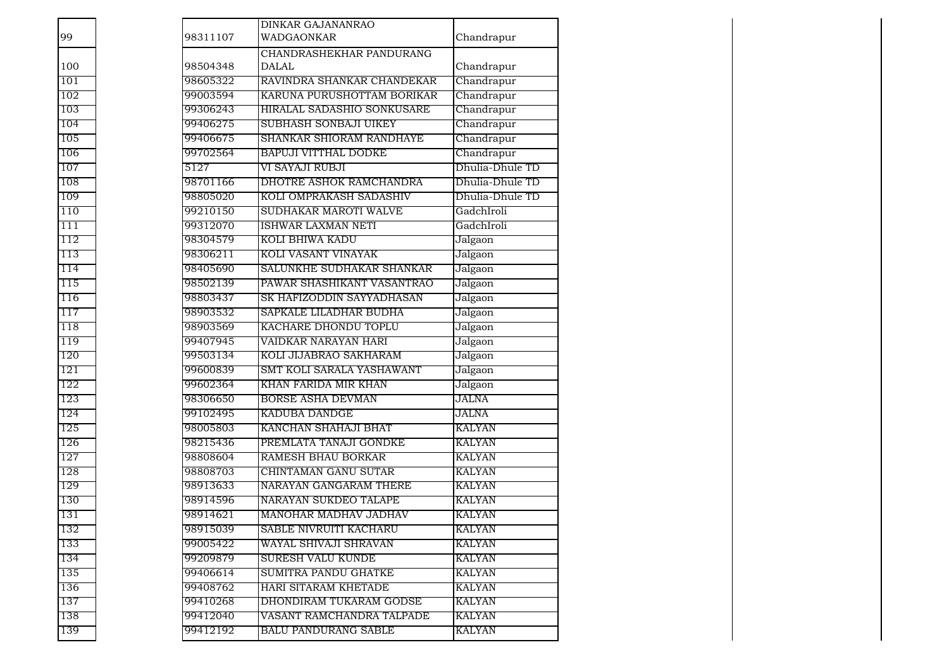| 99  | 98311107 | DINKAR GAJANANRAO<br><b>WADGAONKAR</b>   | Chandrapur      |
|-----|----------|------------------------------------------|-----------------|
| 100 | 98504348 | CHANDRASHEKHAR PANDURANG<br><b>DALAL</b> | Chandrapur      |
| 101 | 98605322 | RAVINDRA SHANKAR CHANDEKAR               | Chandrapur      |
| 102 | 99003594 | KARUNA PURUSHOTTAM BORIKAR               | Chandrapur      |
| 103 | 99306243 | HIRALAL SADASHIO SONKUSARE               | Chandrapur      |
| 104 | 99406275 | SUBHASH SONBAJI UIKEY                    | Chandrapur      |
| 105 | 99406675 | SHANKAR SHIORAM RANDHAYE                 | Chandrapur      |
| 106 | 99702564 | <b>BAPUJI VITTHAL DODKE</b>              | Chandrapur      |
| 107 | 5127     | VI SAYAJI RUBJI                          | Dhulia-Dhule TD |
| 108 | 98701166 | DHOTRE ASHOK RAMCHANDRA                  | Dhulia-Dhule TD |
| 109 | 98805020 | KOLI OMPRAKASH SADASHIV                  | Dhulia-Dhule TD |
| 110 | 99210150 | SUDHAKAR MAROTI WALVE                    | GadchIroli      |
| 111 | 99312070 | <b>ISHWAR LAXMAN NETI</b>                | GadchIroli      |
| 112 | 98304579 | KOLI BHIWA KADU                          | Jalgaon         |
| 113 | 98306211 | KOLI VASANT VINAYAK                      | Jalgaon         |
| 114 | 98405690 | SALUNKHE SUDHAKAR SHANKAR                | Jalgaon         |
| 115 | 98502139 | PAWAR SHASHIKANT VASANTRAO               | Jalgaon         |
| 116 | 98803437 | SK HAFIZODDIN SAYYADHASAN                | Jalgaon         |
| 117 | 98903532 | SAPKALE LILADHAR BUDHA                   | Jalgaon         |
| 118 | 98903569 | KACHARE DHONDU TOPLU                     | Jalgaon         |
| 119 | 99407945 | VAIDKAR NARAYAN HARI                     | Jalgaon         |
| 120 | 99503134 | KOLI JIJABRAO SAKHARAM                   | Jalgaon         |
| 121 | 99600839 | SMT KOLI SARALA YASHAWANT                | Jalgaon         |
| 122 | 99602364 | KHAN FARIDA MIR KHAN                     | Jalgaon         |
| 123 | 98306650 | <b>BORSE ASHA DEVMAN</b>                 | JALNA           |
| 124 | 99102495 | KADUBA DANDGE                            | JALNA           |
| 125 | 98005803 | KANCHAN SHAHAJI BHAT                     | <b>KALYAN</b>   |
| 126 | 98215436 | PREMLATA TANAJI GONDKE                   | <b>KALYAN</b>   |
| 127 | 98808604 | <b>RAMESH BHAU BORKAR</b>                | <b>KALYAN</b>   |
| 128 | 98808703 | CHINTAMAN GANU SUTAR                     | <b>KALYAN</b>   |
| 129 | 98913633 | NARAYAN GANGARAM THERE                   | <b>KALYAN</b>   |
| 130 | 98914596 | NARAYAN SUKDEO TALAPE                    | <b>KALYAN</b>   |
| 131 | 98914621 | MANOHAR MADHAV JADHAV                    | <b>KALYAN</b>   |
| 132 | 98915039 | SABLE NIVRUITI KACHARU                   | KALYAN          |
| 133 | 99005422 | WAYAL SHIVAJI SHRAVAN                    | <b>KALYAN</b>   |
| 134 | 99209879 | <b>SURESH VALU KUNDE</b>                 | <b>KALYAN</b>   |
| 135 | 99406614 | SUMITRA PANDU GHATKE                     | KALYAN          |
| 136 | 99408762 | HARI SITARAM KHETADE                     | <b>KALYAN</b>   |
| 137 | 99410268 | DHONDIRAM TUKARAM GODSE                  | KALYAN          |
| 138 | 99412040 | VASANT RAMCHANDRA TALPADE                | KALYAN          |
| 139 | 99412192 | <b>BALU PANDURANG SABLE</b>              | KALYAN          |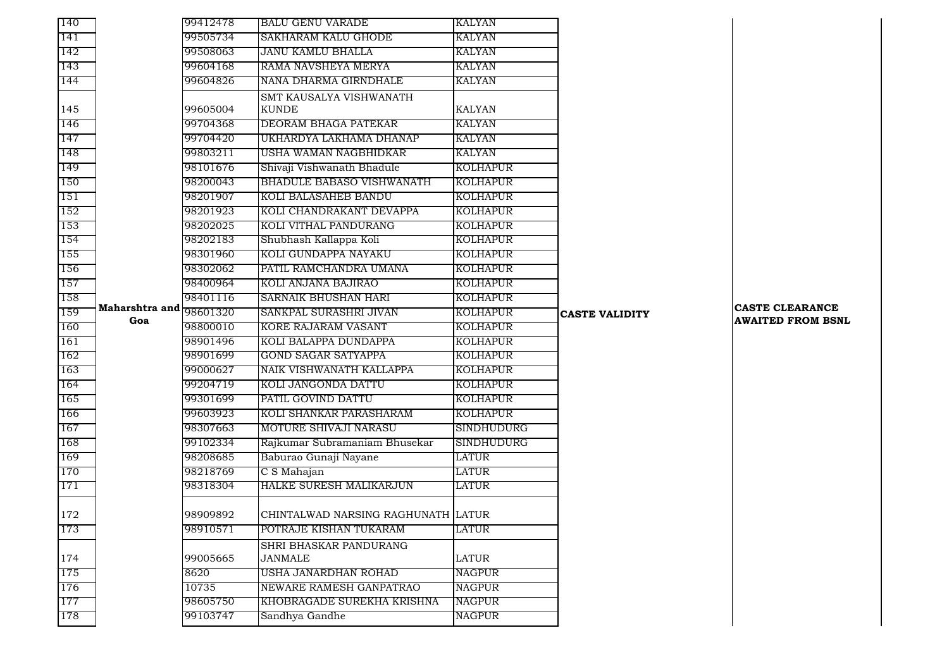| 140 |                | 99412478 | <b>BALU GENU VARADE</b>            | KALYAN            |                       |                          |
|-----|----------------|----------|------------------------------------|-------------------|-----------------------|--------------------------|
| 141 |                | 99505734 | <b>SAKHARAM KALU GHODE</b>         | <b>KALYAN</b>     |                       |                          |
| 142 |                | 99508063 | JANU KAMLU BHALLA                  | KALYAN            |                       |                          |
| 143 |                | 99604168 | RAMA NAVSHEYA MERYA                | <b>KALYAN</b>     |                       |                          |
| 144 |                | 99604826 | NANA DHARMA GIRNDHALE              | KALYAN            |                       |                          |
|     |                |          | SMT KAUSALYA VISHWANATH            |                   |                       |                          |
| 145 |                | 99605004 | <b>KUNDE</b>                       | <b>KALYAN</b>     |                       |                          |
| 146 |                | 99704368 | DEORAM BHAGA PATEKAR               | KALYAN            |                       |                          |
| 147 |                | 99704420 | UKHARDYA LAKHAMA DHANAP            | <b>KALYAN</b>     |                       |                          |
| 148 |                | 99803211 | USHA WAMAN NAGBHIDKAR              | KALYAN            |                       |                          |
| 149 |                | 98101676 | Shivaji Vishwanath Bhadule         | KOLHAPUR          |                       |                          |
| 150 |                | 98200043 | <b>BHADULE BABASO VISHWANATH</b>   | KOLHAPUR          |                       |                          |
| 151 |                | 98201907 | <b>KOLI BALASAHEB BANDU</b>        | <b>KOLHAPUR</b>   |                       |                          |
| 152 |                | 98201923 | KOLI CHANDRAKANT DEVAPPA           | KOLHAPUR          |                       |                          |
| 153 |                | 98202025 | KOLI VITHAL PANDURANG              | KOLHAPUR          |                       |                          |
| 154 |                | 98202183 | Shubhash Kallappa Koli             | <b>KOLHAPUR</b>   |                       |                          |
| 155 |                | 98301960 | KOLI GUNDAPPA NAYAKU               | <b>KOLHAPUR</b>   |                       |                          |
| 156 |                | 98302062 | PATIL RAMCHANDRA UMANA             | <b>KOLHAPUR</b>   |                       |                          |
| 157 |                | 98400964 | KOLI ANJANA BAJIRAO                | KOLHAPUR          |                       |                          |
| 158 |                | 98401116 | SARNAIK BHUSHAN HARI               | KOLHAPUR          |                       |                          |
| 159 | Maharshtra and | 98601320 | SANKPAL SURASHRI JIVAN             | <b>KOLHAPUR</b>   | <b>CASTE VALIDITY</b> | <b>CASTE CLEARANCE</b>   |
| 160 | Goa            | 98800010 | KORE RAJARAM VASANT                | KOLHAPUR          |                       | <b>AWAITED FROM BSNL</b> |
| 161 |                | 98901496 | KOLI BALAPPA DUNDAPPA              | KOLHAPUR          |                       |                          |
| 162 |                | 98901699 | GOND SAGAR SATYAPPA                | KOLHAPUR          |                       |                          |
| 163 |                | 99000627 | NAIK VISHWANATH KALLAPPA           | <b>KOLHAPUR</b>   |                       |                          |
| 164 |                | 99204719 | KOLI JANGONDA DATTU                | KOLHAPUR          |                       |                          |
| 165 |                | 99301699 | PATIL GOVIND DATTU                 | KOLHAPUR          |                       |                          |
| 166 |                | 99603923 | KOLI SHANKAR PARASHARAM            | KOLHAPUR          |                       |                          |
| 167 |                | 98307663 | MOTURE SHIVAJI NARASU              | <b>SINDHUDURG</b> |                       |                          |
| 168 |                | 99102334 | Rajkumar Subramaniam Bhusekar      | SINDHUDURG        |                       |                          |
| 169 |                | 98208685 | Baburao Gunaji Nayane              | LATUR             |                       |                          |
| 170 |                | 98218769 | C S Mahajan                        | LATUR             |                       |                          |
| 171 |                | 98318304 | HALKE SURESH MALIKARJUN            | LATUR             |                       |                          |
|     |                |          |                                    |                   |                       |                          |
| 172 |                | 98909892 | CHINTALWAD NARSING RAGHUNATH LATUR |                   |                       |                          |
| 173 |                | 98910571 | POTRAJE KISHAN TUKARAM             | LATUR             |                       |                          |
|     |                |          | <b>SHRI BHASKAR PANDURANG</b>      |                   |                       |                          |
| 174 |                | 99005665 | <b>JANMALE</b>                     | LATUR             |                       |                          |
| 175 |                | 8620     | USHA JANARDHAN ROHAD               | <b>NAGPUR</b>     |                       |                          |
| 176 |                | 10735    | NEWARE RAMESH GANPATRAO            | <b>NAGPUR</b>     |                       |                          |
| 177 |                | 98605750 | KHOBRAGADE SUREKHA KRISHNA         | NAGPUR            |                       |                          |
| 178 |                | 99103747 | Sandhya Gandhe                     | NAGPUR            |                       |                          |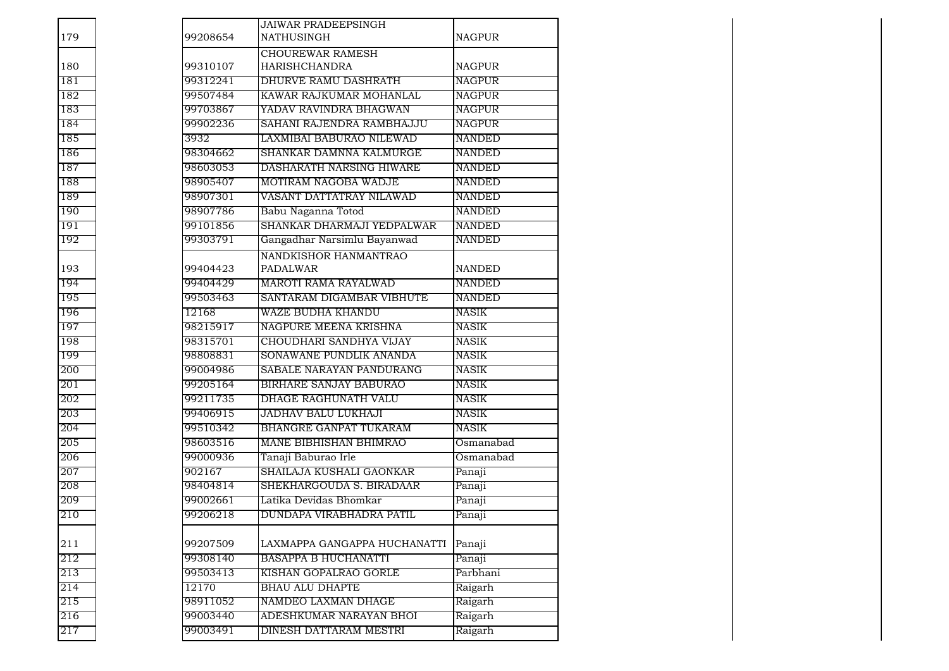| 179 | 99208654 | <b>JAIWAR PRADEEPSINGH</b><br><b>NATHUSINGH</b> | <b>NAGPUR</b> |
|-----|----------|-------------------------------------------------|---------------|
| 180 | 99310107 | <b>CHOUREWAR RAMESH</b><br><b>HARISHCHANDRA</b> | <b>NAGPUR</b> |
| 181 | 99312241 | DHURVE RAMU DASHRATH                            | NAGPUR        |
| 182 | 99507484 | KAWAR RAJKUMAR MOHANLAL                         | <b>NAGPUR</b> |
| 183 | 99703867 | YADAV RAVINDRA BHAGWAN                          | <b>NAGPUR</b> |
| 184 | 99902236 | SAHANI RAJENDRA RAMBHAJJU                       | <b>NAGPUR</b> |
| 185 | 3932     | LAXMIBAI BABURAO NILEWAD                        | NANDED        |
| 186 | 98304662 | SHANKAR DAMNNA KALMURGE                         | <b>NANDED</b> |
| 187 | 98603053 | DASHARATH NARSING HIWARE                        | <b>NANDED</b> |
| 188 | 98905407 | MOTIRAM NAGOBA WADJE                            | <b>NANDED</b> |
| 189 | 98907301 | VASANT DATTATRAY NILAWAD                        | <b>NANDED</b> |
| 190 | 98907786 | Babu Naganna Totod                              | <b>NANDED</b> |
| 191 | 99101856 | SHANKAR DHARMAJI YEDPALWAR                      | NANDED        |
| 192 | 99303791 | Gangadhar Narsimlu Bayanwad                     | NANDED        |
| 193 | 99404423 | NANDKISHOR HANMANTRAO<br><b>PADALWAR</b>        | <b>NANDED</b> |
| 194 | 99404429 | MAROTI RAMA RAYALWAD                            | <b>NANDED</b> |
| 195 | 99503463 | SANTARAM DIGAMBAR VIBHUTE                       | <b>NANDED</b> |
| 196 | 12168    | WAZE BUDHA KHANDU                               | <b>NASIK</b>  |
| 197 | 98215917 | NAGPURE MEENA KRISHNA                           | <b>NASIK</b>  |
| 198 | 98315701 | CHOUDHARI SANDHYA VIJAY                         | <b>NASIK</b>  |
| 199 | 98808831 | SONAWANE PUNDLIK ANANDA                         | <b>NASIK</b>  |
| 200 | 99004986 | SABALE NARAYAN PANDURANG                        | <b>NASIK</b>  |
| 201 | 99205164 | <b>BIRHARE SANJAY BABURAO</b>                   | NASIK         |
| 202 | 99211735 | DHAGE RAGHUNATH VALU                            | NASIK         |
| 203 | 99406915 | JADHAV BALU LUKHAJI                             | NASIK         |
| 204 | 99510342 | <b>BHANGRE GANPAT TUKARAM</b>                   | <b>NASIK</b>  |
| 205 | 98603516 | MANE BIBHISHAN BHIMRAO                          | Osmanabad     |
| 206 | 99000936 | Tanaji Baburao Irle                             | Osmanabad     |
| 207 | 902167   | SHAILAJA KUSHALI GAONKAR                        | Panaji        |
| 208 | 98404814 | SHEKHARGOUDA S. BIRADAAR                        | Panaji        |
| 209 | 99002661 | Latika Devidas Bhomkar                          | Panaji        |
| 210 | 99206218 | DUNDAPA VIRABHADRA PATIL                        | Panaji        |
|     |          |                                                 |               |
| 211 | 99207509 | LAXMAPPA GANGAPPA HUCHANATTI                    | Panaji        |
| 212 | 99308140 | <b>BASAPPA B HUCHANATTI</b>                     | Panaji        |
| 213 | 99503413 | KISHAN GOPALRAO GORLE                           | Parbhani      |
| 214 | 12170    | <b>BHAU ALU DHAPTE</b>                          | Raigarh       |
| 215 | 98911052 | NAMDEO LAXMAN DHAGE                             | Raigarh       |
| 216 | 99003440 | ADESHKUMAR NARAYAN BHOI                         | Raigarh       |
| 217 | 99003491 | DINESH DATTARAM MESTRI                          | Raigarh       |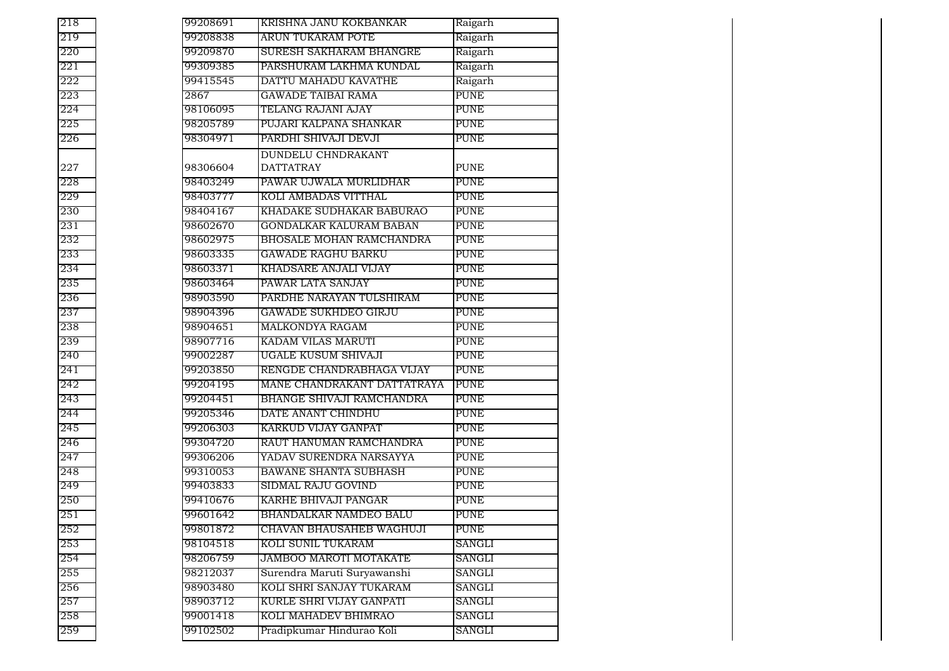| 218 | 99208691 | KRISHNA JANU KOKBANKAR        | Raigarh     |
|-----|----------|-------------------------------|-------------|
| 219 | 99208838 | <b>ARUN TUKARAM POTE</b>      | Raigarh     |
| 220 | 99209870 | SURESH SAKHARAM BHANGRE       | Raigarh     |
| 221 | 99309385 | PARSHURAM LAKHMA KUNDAL       | Raigarh     |
| 222 | 99415545 | DATTU MAHADU KAVATHE          | Raigarh     |
| 223 | 2867     | <b>GAWADE TAIBAI RAMA</b>     | <b>PUNE</b> |
| 224 | 98106095 | TELANG RAJANI AJAY            | <b>PUNE</b> |
| 225 | 98205789 | PUJARI KALPANA SHANKAR        | <b>PUNE</b> |
| 226 | 98304971 | PARDHI SHIVAJI DEVJI          | <b>PUNE</b> |
|     |          | DUNDELU CHNDRAKANT            |             |
| 227 | 98306604 | <b>DATTATRAY</b>              | <b>PUNE</b> |
| 228 | 98403249 | PAWAR UJWALA MURLIDHAR        | <b>PUNE</b> |
| 229 | 98403777 | KOLI AMBADAS VITTHAL          | <b>PUNE</b> |
| 230 | 98404167 | KHADAKE SUDHAKAR BABURAO      | <b>PUNE</b> |
| 231 | 98602670 | GONDALKAR KALURAM BABAN       | <b>PUNE</b> |
| 232 | 98602975 | BHOSALE MOHAN RAMCHANDRA      | <b>PUNE</b> |
| 233 | 98603335 | <b>GAWADE RAGHU BARKU</b>     | <b>PUNE</b> |
| 234 | 98603371 | KHADSARE ANJALI VIJAY         | <b>PUNE</b> |
| 235 | 98603464 | PAWAR LATA SANJAY             | <b>PUNE</b> |
| 236 | 98903590 | PARDHE NARAYAN TULSHIRAM      | <b>PUNE</b> |
| 237 | 98904396 | <b>GAWADE SUKHDEO GIRJU</b>   | <b>PUNE</b> |
| 238 | 98904651 | MALKONDYA RAGAM               | <b>PUNE</b> |
| 239 | 98907716 | KADAM VILAS MARUTI            | <b>PUNE</b> |
| 240 | 99002287 | UGALE KUSUM SHIVAJI           | <b>PUNE</b> |
| 241 | 99203850 | RENGDE CHANDRABHAGA VIJAY     | <b>PUNE</b> |
| 242 | 99204195 | MANE CHANDRAKANT DATTATRAYA   | <b>PUNE</b> |
| 243 | 99204451 | BHANGE SHIVAJI RAMCHANDRA     | <b>PUNE</b> |
| 244 | 99205346 | DATE ANANT CHINDHU            | <b>PUNE</b> |
| 245 | 99206303 | KARKUD VIJAY GANPAT           | <b>PUNE</b> |
| 246 | 99304720 | RAUT HANUMAN RAMCHANDRA       | <b>PUNE</b> |
| 247 | 99306206 | YADAV SURENDRA NARSAYYA       | <b>PUNE</b> |
| 248 | 99310053 | <b>BAWANE SHANTA SUBHASH</b>  | <b>PUNE</b> |
| 249 | 99403833 | SIDMAL RAJU GOVIND            | <b>PUNE</b> |
| 250 | 99410676 | KARHE BHIVAJI PANGAR          | <b>PUNE</b> |
| 251 | 99601642 | <b>BHANDALKAR NAMDEO BALU</b> | <b>PUNE</b> |
| 252 | 99801872 | CHAVAN BHAUSAHEB WAGHUJI      | <b>PUNE</b> |
| 253 | 98104518 | KOLI SUNIL TUKARAM            | SANGLI      |
| 254 | 98206759 | <b>JAMBOO MAROTI MOTAKATE</b> | SANGLI      |
| 255 | 98212037 | Surendra Maruti Suryawanshi   | SANGLI      |
| 256 | 98903480 | KOLI SHRI SANJAY TUKARAM      | SANGLI      |
| 257 | 98903712 | KURLE SHRI VIJAY GANPATI      | SANGLI      |
| 258 | 99001418 | KOLI MAHADEV BHIMRAO          | SANGLI      |
| 259 | 99102502 | Pradipkumar Hindurao Koli     | SANGLI      |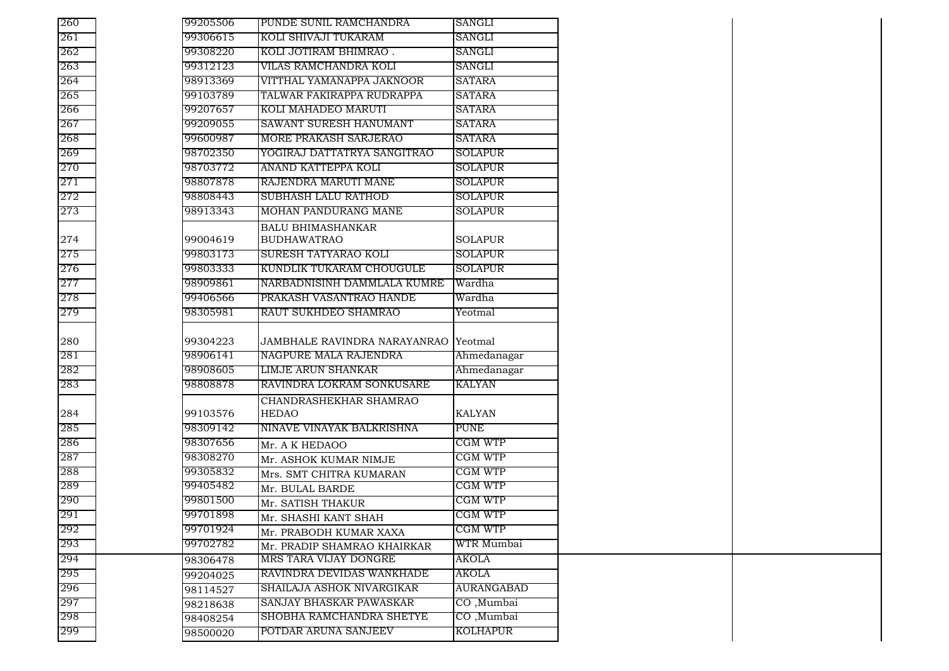| 260        | 99205506             | PUNDE SUNIL RAMCHANDRA                               | SANGLI                 |
|------------|----------------------|------------------------------------------------------|------------------------|
| 261        | 99306615             | KOLI SHIVAJI TUKARAM                                 | <b>SANGLI</b>          |
| 262        | 99308220             | KOLI JOTIRAM BHIMRAO.                                | SANGLI                 |
| 263        | 99312123             | VILAS RAMCHANDRA KOLI                                | SANGLI                 |
| 264        | 98913369             | VITTHAL YAMANAPPA JAKNOOR                            | SATARA                 |
| 265        | 99103789             | TALWAR FAKIRAPPA RUDRAPPA                            | <b>SATARA</b>          |
| 266        | 99207657             | KOLI MAHADEO MARUTI                                  | SATARA                 |
| 267        | 99209055             | SAWANT SURESH HANUMANT                               | SATARA                 |
| 268        | 99600987             | MORE PRAKASH SARJERAO                                | <b>SATARA</b>          |
| 269        | 98702350             | YOGIRAJ DATTATRYA SANGITRAO                          | <b>SOLAPUR</b>         |
| 270        | 98703772             | ANAND KATTEPPA KOLI                                  | <b>SOLAPUR</b>         |
| 271        | 98807878             | RAJENDRA MARUTI MANE                                 | <b>SOLAPUR</b>         |
| 272        | 98808443             | SUBHASH LALU RATHOD                                  | <b>SOLAPUR</b>         |
| 273        | 98913343             | MOHAN PANDURANG MANE                                 | <b>SOLAPUR</b>         |
| 274        | 99004619             | <b>BALU BHIMASHANKAR</b><br><b>BUDHAWATRAO</b>       | <b>SOLAPUR</b>         |
| 275        | 99803173             | SURESH TATYARAO KOLI                                 | <b>SOLAPUR</b>         |
| 276        | 99803333             | KUNDLIK TUKARAM CHOUGULE                             | SOLAPUR                |
| 277        | 98909861             | NARBADNISINH DAMMLALA KUMRE                          | Wardha                 |
| 278        | 99406566             | PRAKASH VASANTRAO HANDE                              | Wardha                 |
| 279        | 98305981             | RAUT SUKHDEO SHAMRAO                                 | Yeotmal                |
|            |                      |                                                      |                        |
| 280        | 99304223             | JAMBHALE RAVINDRA NARAYANRAO Yeotmal                 |                        |
| 281        | 98906141             | NAGPURE MALA RAJENDRA                                | Ahmedanagar            |
| 282        | 98908605             | <b>LIMJE ARUN SHANKAR</b>                            | Ahmedanagar            |
| 283        | 98808878             | RAVINDRA LOKRAM SONKUSARE                            | KALYAN                 |
|            |                      | CHANDRASHEKHAR SHAMRAO                               |                        |
| 284        | 99103576             | <b>HEDAO</b>                                         | <b>KALYAN</b>          |
| 285        | 98309142             | NINAVE VINAYAK BALKRISHNA                            | <b>PUNE</b>            |
| 286        | 98307656             | Mr. A K HEDAOO                                       | CGM WTP                |
| 287        | 98308270             | Mr. ASHOK KUMAR NIMJE                                | CGM WTP                |
| 288        | 99305832             | Mrs. SMT CHITRA KUMARAN                              | CGM WTP                |
| 289        | 99405482             | Mr. BULAL BARDE                                      | CGM WTP                |
| 290        | 99801500             | Mr. SATISH THAKUR                                    | CGM WTP                |
| 291        | 99701898             |                                                      | CGM WTP                |
| 292        | 99701924             | Mr. SHASHI KANT SHAH                                 | CGM WTP                |
| 293        | 99702782             | Mr. PRABODH KUMAR XAXA                               | WTR Mumbai             |
| 294        | 98306478             | Mr. PRADIP SHAMRAO KHAIRKAR<br>MRS TARA VIJAY DONGRE | <b>AKOLA</b>           |
| 295        |                      | RAVINDRA DEVIDAS WANKHADE                            | AKOLA                  |
| 296        | 99204025             | SHAILAJA ASHOK NIVARGIKAR                            | <b>AURANGABAD</b>      |
| 297        | 98114527             | SANJAY BHASKAR PAWASKAR                              | CO, Mumbai             |
|            |                      |                                                      |                        |
|            | 98218638             |                                                      |                        |
| 298<br>299 | 98408254<br>98500020 | SHOBHA RAMCHANDRA SHETYE<br>POTDAR ARUNA SANJEEV     | CO, Mumbai<br>KOLHAPUR |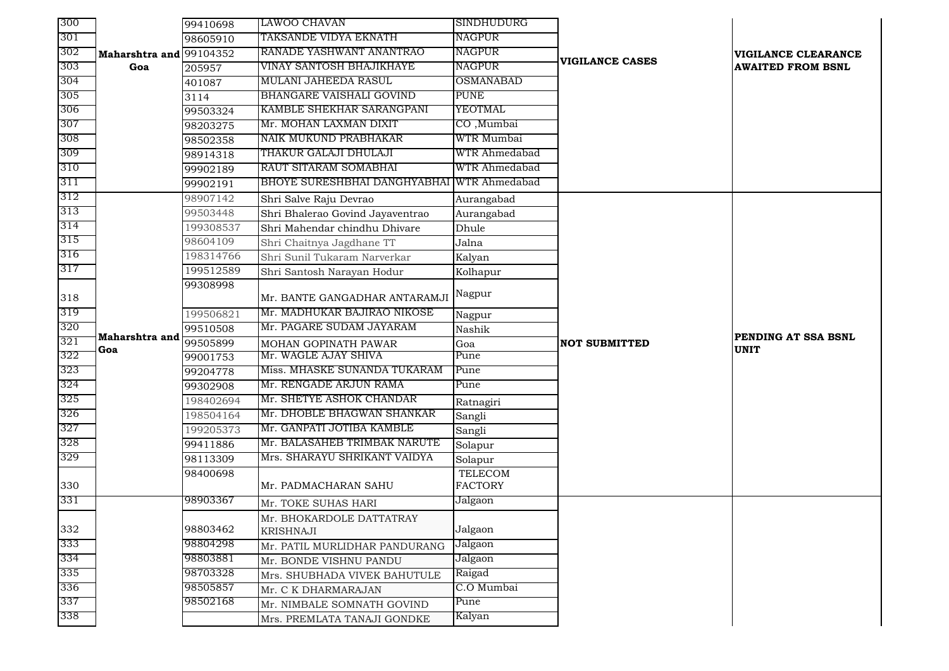| 300        |                | 99410698  | LAWOO CHAVAN                                              | SINDHUDURG       |                      |                          |
|------------|----------------|-----------|-----------------------------------------------------------|------------------|----------------------|--------------------------|
| 301        |                | 98605910  | TAKSANDE VIDYA EKNATH                                     | <b>NAGPUR</b>    |                      |                          |
| 302        | Maharshtra and | 99104352  | RANADE YASHWANT ANANTRAO                                  | NAGPUR           |                      | VIGILANCE CLEARANCE      |
| 303        | Goa            | 205957    | VINAY SANTOSH BHAJIKHAYE                                  | <b>NAGPUR</b>    | VIGILANCE CASES      | <b>AWAITED FROM BSNL</b> |
| 304        |                | 401087    | MULANI JAHEEDA RASUL                                      | <b>OSMANABAD</b> |                      |                          |
| 305        |                | 3114      | <b>BHANGARE VAISHALI GOVIND</b>                           | <b>PUNE</b>      |                      |                          |
| 306        |                | 99503324  | KAMBLE SHEKHAR SARANGPANI                                 | YEOTMAL          |                      |                          |
| 307        |                | 98203275  | Mr. MOHAN LAXMAN DIXIT                                    | CO, Mumbai       |                      |                          |
| 308        |                | 98502358  | NAIK MUKUND PRABHAKAR                                     | WTR Mumbai       |                      |                          |
| 309        |                | 98914318  | THAKUR GALAJI DHULAJI                                     | WTR Ahmedabad    |                      |                          |
| 310        |                | 99902189  | RAUT SITARAM SOMABHAI                                     | WTR Ahmedabad    |                      |                          |
| 311        |                | 99902191  | <b>BHOYE SURESHBHAI DANGHYABHAI</b>                       | WTR Ahmedabad    |                      |                          |
| 312        |                | 98907142  | Shri Salve Raju Devrao                                    | Aurangabad       |                      |                          |
| 313        |                | 99503448  | Shri Bhalerao Govind Jayaventrao                          | Aurangabad       |                      |                          |
| 314        |                | 199308537 | Shri Mahendar chindhu Dhivare                             | Dhule            |                      |                          |
| 315        |                | 98604109  | Shri Chaitnya Jagdhane TT                                 | Jalna            |                      |                          |
| 316        |                | 198314766 | Shri Sunil Tukaram Narverkar                              | Kalyan           |                      |                          |
| 317        |                | 199512589 | Shri Santosh Narayan Hodur                                | Kolhapur         |                      |                          |
|            |                | 99308998  |                                                           |                  |                      |                          |
| 318        |                |           | Mr. BANTE GANGADHAR ANTARAMJI                             | Nagpur           |                      |                          |
| 319        |                | 199506821 | Mr. MADHUKAR BAJIRAO NIKOSE                               | Nagpur           |                      |                          |
|            |                |           |                                                           |                  |                      |                          |
|            |                | 99510508  | Mr. PAGARE SUDAM JAYARAM                                  | Nashik           |                      |                          |
| 320<br>321 | Maharshtra and | 99505899  | MOHAN GOPINATH PAWAR                                      | Goa              | <b>NOT SUBMITTED</b> | PENDING AT SSA BSNL      |
| 322        | Goa            | 99001753  | Mr. WAGLE AJAY SHIVA                                      | Pune             |                      | <b>UNIT</b>              |
| 323        |                | 99204778  | Miss. MHASKE SUNANDA TUKARAM                              | Pune             |                      |                          |
| 324        |                | 99302908  | Mr. RENGADE ARJUN RAMA                                    | Pune             |                      |                          |
| 325        |                | 198402694 | Mr. SHETYE ASHOK CHANDAR                                  | Ratnagiri        |                      |                          |
| 326        |                | 198504164 | Mr. DHOBLE BHAGWAN SHANKAR                                | Sangli           |                      |                          |
| 327        |                | 199205373 | Mr. GANPATI JOTIBA KAMBLE                                 | Sangli           |                      |                          |
| 328        |                | 99411886  | Mr. BALASAHEB TRIMBAK NARUTE                              | Solapur          |                      |                          |
| 329        |                | 98113309  | Mrs. SHARAYU SHRIKANT VAIDYA                              | Solapur          |                      |                          |
|            |                | 98400698  |                                                           | TELECOM          |                      |                          |
| 330        |                |           | Mr. PADMACHARAN SAHU                                      | <b>FACTORY</b>   |                      |                          |
| 331        |                | 98903367  | Mr. TOKE SUHAS HARI                                       | Jalgaon          |                      |                          |
|            |                |           | Mr. BHOKARDOLE DATTATRAY                                  |                  |                      |                          |
| 332        |                | 98803462  | <b>KRISHNAJI</b>                                          | Jalgaon          |                      |                          |
| 333        |                | 98804298  | Mr. PATIL MURLIDHAR PANDURANG                             | Jalgaon          |                      |                          |
| 334        |                | 98803881  | Mr. BONDE VISHNU PANDU                                    | Jalgaon          |                      |                          |
| 335        |                | 98703328  | Mrs. SHUBHADA VIVEK BAHUTULE                              | Raigad           |                      |                          |
| 336        |                | 98505857  | Mr. C K DHARMARAJAN                                       | C.O Mumbai       |                      |                          |
| 337<br>338 |                | 98502168  | Mr. NIMBALE SOMNATH GOVIND<br>Mrs. PREMLATA TANAJI GONDKE | Pune<br>Kalyan   |                      |                          |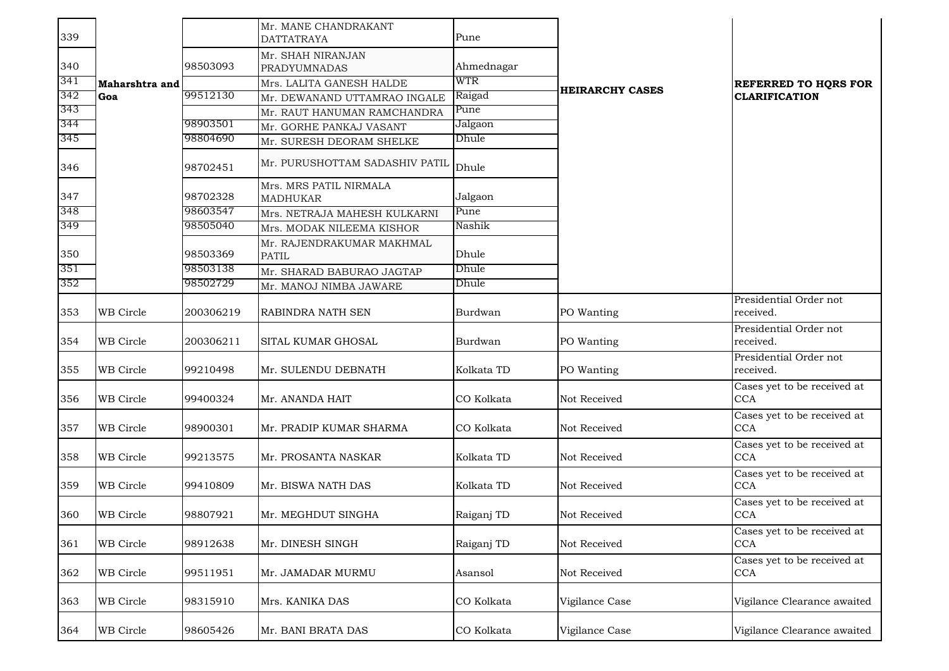| 339 |                |           | Mr. MANE CHANDRAKANT<br><b>DATTATRAYA</b> | Pune       |                        |                                           |
|-----|----------------|-----------|-------------------------------------------|------------|------------------------|-------------------------------------------|
| 340 |                | 98503093  | Mr. SHAH NIRANJAN<br><b>PRADYUMNADAS</b>  | Ahmednagar |                        |                                           |
| 341 | Maharshtra and |           | Mrs. LALITA GANESH HALDE                  | WTR        |                        | <b>REFERRED TO HORS FOR</b>               |
| 342 | Goa            | 99512130  | Mr. DEWANAND UTTAMRAO INGALE              | Raigad     | <b>HEIRARCHY CASES</b> | <b>CLARIFICATION</b>                      |
| 343 |                |           | Mr. RAUT HANUMAN RAMCHANDRA               | Pune       |                        |                                           |
| 344 |                | 98903501  | Mr. GORHE PANKAJ VASANT                   | Jalgaon    |                        |                                           |
| 345 |                | 98804690  | Mr. SURESH DEORAM SHELKE                  | Dhule      |                        |                                           |
| 346 |                | 98702451  | Mr. PURUSHOTTAM SADASHIV PATIL            | Dhule      |                        |                                           |
| 347 |                | 98702328  | Mrs. MRS PATIL NIRMALA<br><b>MADHUKAR</b> | Jalgaon    |                        |                                           |
| 348 |                | 98603547  | Mrs. NETRAJA MAHESH KULKARNI              | Pune       |                        |                                           |
| 349 |                | 98505040  | Mrs. MODAK NILEEMA KISHOR                 | Nashik     |                        |                                           |
| 350 |                | 98503369  | Mr. RAJENDRAKUMAR MAKHMAL<br><b>PATIL</b> | Dhule      |                        |                                           |
| 351 |                | 98503138  | Mr. SHARAD BABURAO JAGTAP                 | Dhule      |                        |                                           |
| 352 |                | 98502729  | Mr. MANOJ NIMBA JAWARE                    | Dhule      |                        |                                           |
| 353 | WB Circle      | 200306219 | RABINDRA NATH SEN                         | Burdwan    | PO Wanting             | Presidential Order not<br>received.       |
| 354 | WB Circle      | 200306211 | SITAL KUMAR GHOSAL                        | Burdwan    | PO Wanting             | Presidential Order not<br>received.       |
| 355 | WB Circle      | 99210498  | Mr. SULENDU DEBNATH                       | Kolkata TD | PO Wanting             | Presidential Order not<br>received.       |
| 356 | WB Circle      | 99400324  | Mr. ANANDA HAIT                           | CO Kolkata | Not Received           | Cases yet to be received at<br><b>CCA</b> |
| 357 | WB Circle      | 98900301  | Mr. PRADIP KUMAR SHARMA                   | CO Kolkata | Not Received           | Cases yet to be received at<br>CCA        |
| 358 | WB Circle      | 99213575  | Mr. PROSANTA NASKAR                       | Kolkata TD | Not Received           | Cases yet to be received at<br><b>CCA</b> |
| 359 | WB Circle      | 99410809  | Mr. BISWA NATH DAS                        | Kolkata TD | Not Received           | Cases yet to be received at<br><b>CCA</b> |
| 360 | WB Circle      | 98807921  | Mr. MEGHDUT SINGHA                        | Raiganj TD | Not Received           | Cases yet to be received at<br>CCA        |
| 361 | WB Circle      | 98912638  | Mr. DINESH SINGH                          | Raiganj TD | Not Received           | Cases yet to be received at<br><b>CCA</b> |
| 362 | WB Circle      | 99511951  | Mr. JAMADAR MURMU                         | Asansol    | Not Received           | Cases yet to be received at<br><b>CCA</b> |
| 363 | WB Circle      | 98315910  | Mrs. KANIKA DAS                           | CO Kolkata | Vigilance Case         | Vigilance Clearance awaited               |
| 364 | WB Circle      | 98605426  | Mr. BANI BRATA DAS                        | CO Kolkata | Vigilance Case         | Vigilance Clearance awaited               |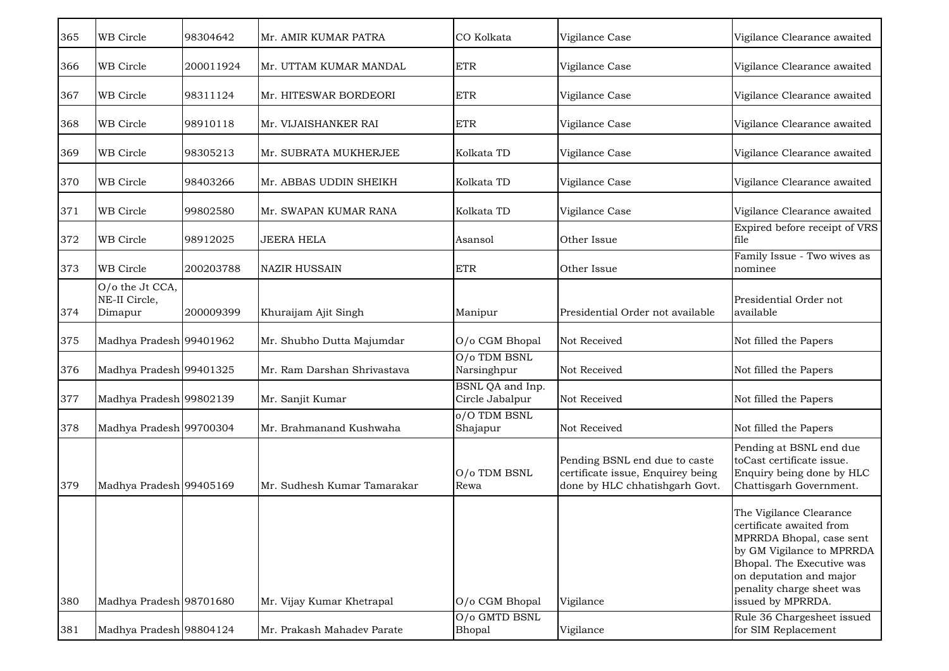| 365 | WB Circle                                   | 98304642  | Mr. AMIR KUMAR PATRA        | CO Kolkata                          | Vigilance Case                                                                                       | Vigilance Clearance awaited                                                                                                                                                                                            |
|-----|---------------------------------------------|-----------|-----------------------------|-------------------------------------|------------------------------------------------------------------------------------------------------|------------------------------------------------------------------------------------------------------------------------------------------------------------------------------------------------------------------------|
| 366 | WB Circle                                   | 200011924 | Mr. UTTAM KUMAR MANDAL      | <b>ETR</b>                          | Vigilance Case                                                                                       | Vigilance Clearance awaited                                                                                                                                                                                            |
| 367 | WB Circle                                   | 98311124  | Mr. HITESWAR BORDEORI       | <b>ETR</b>                          | Vigilance Case                                                                                       | Vigilance Clearance awaited                                                                                                                                                                                            |
| 368 | WB Circle                                   | 98910118  | Mr. VIJAISHANKER RAI        | <b>ETR</b>                          | Vigilance Case                                                                                       | Vigilance Clearance awaited                                                                                                                                                                                            |
| 369 | WB Circle                                   | 98305213  | Mr. SUBRATA MUKHERJEE       | Kolkata TD                          | Vigilance Case                                                                                       | Vigilance Clearance awaited                                                                                                                                                                                            |
| 370 | WB Circle                                   | 98403266  | Mr. ABBAS UDDIN SHEIKH      | Kolkata TD                          | Vigilance Case                                                                                       | Vigilance Clearance awaited                                                                                                                                                                                            |
| 371 | WB Circle                                   | 99802580  | Mr. SWAPAN KUMAR RANA       | Kolkata TD                          | Vigilance Case                                                                                       | Vigilance Clearance awaited                                                                                                                                                                                            |
| 372 | WB Circle                                   | 98912025  | <b>JEERA HELA</b>           | Asansol                             | Other Issue                                                                                          | Expired before receipt of VRS<br>file                                                                                                                                                                                  |
| 373 | WB Circle                                   | 200203788 | <b>NAZIR HUSSAIN</b>        | <b>ETR</b>                          | Other Issue                                                                                          | Family Issue - Two wives as<br>nominee                                                                                                                                                                                 |
| 374 | O/o the Jt CCA,<br>NE-II Circle,<br>Dimapur | 200009399 | Khuraijam Ajit Singh        | Manipur                             | Presidential Order not available                                                                     | Presidential Order not<br>available                                                                                                                                                                                    |
| 375 | Madhya Pradesh 99401962                     |           | Mr. Shubho Dutta Majumdar   | O/o CGM Bhopal                      | Not Received                                                                                         | Not filled the Papers                                                                                                                                                                                                  |
| 376 | Madhya Pradesh 99401325                     |           | Mr. Ram Darshan Shrivastava | O/o TDM BSNL<br>Narsinghpur         | Not Received                                                                                         | Not filled the Papers                                                                                                                                                                                                  |
| 377 | Madhya Pradesh 99802139                     |           | Mr. Sanjit Kumar            | BSNL QA and Inp.<br>Circle Jabalpur | Not Received                                                                                         | Not filled the Papers                                                                                                                                                                                                  |
| 378 | Madhya Pradesh 99700304                     |           | Mr. Brahmanand Kushwaha     | o/O TDM BSNL<br>Shajapur            | Not Received                                                                                         | Not filled the Papers                                                                                                                                                                                                  |
| 379 | Madhya Pradesh 99405169                     |           | Mr. Sudhesh Kumar Tamarakar | O/o TDM BSNL<br>Rewa                | Pending BSNL end due to caste<br>certificate issue, Enquirey being<br>done by HLC chhatishgarh Govt. | Pending at BSNL end due<br>toCast certificate issue.<br>Enquiry being done by HLC<br>Chattisgarh Government.                                                                                                           |
| 380 | Madhya Pradesh 98701680                     |           | Mr. Vijay Kumar Khetrapal   | O/o CGM Bhopal                      | Vigilance                                                                                            | The Vigilance Clearance<br>certificate awaited from<br>MPRRDA Bhopal, case sent<br>by GM Vigilance to MPRRDA<br>Bhopal. The Executive was<br>on deputation and major<br>penality charge sheet was<br>issued by MPRRDA. |
| 381 | Madhya Pradesh 98804124                     |           | Mr. Prakash Mahadev Parate  | O/o GMTD BSNL<br>Bhopal             | Vigilance                                                                                            | Rule 36 Chargesheet issued<br>for SIM Replacement                                                                                                                                                                      |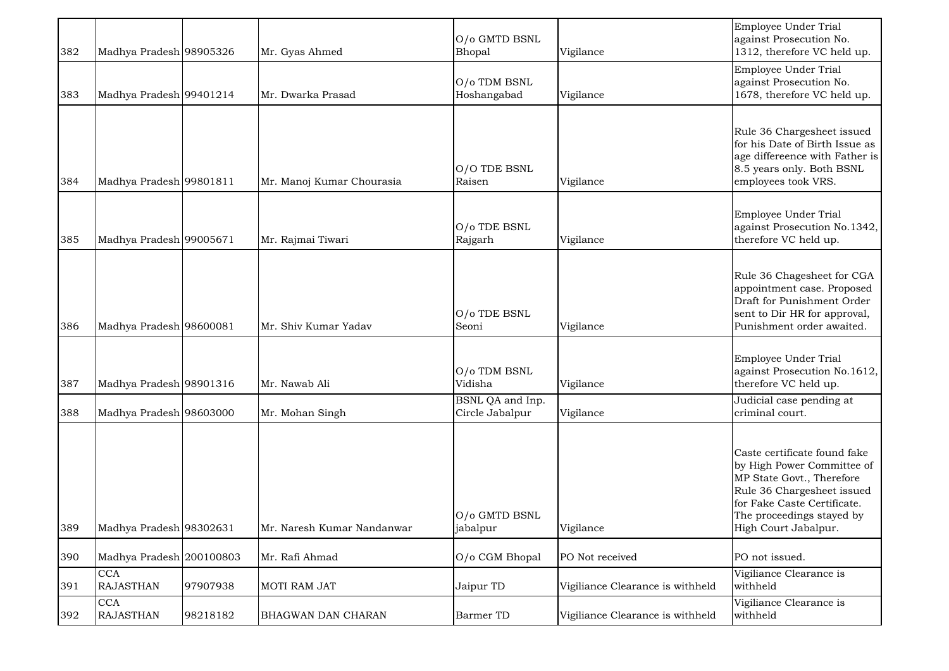| 382 | Madhya Pradesh 98905326        |          | Mr. Gyas Ahmed             | O/o GMTD BSNL<br>Bhopal             | Vigilance                        | Employee Under Trial<br>against Prosecution No.<br>1312, therefore VC held up.                                                                                                                            |
|-----|--------------------------------|----------|----------------------------|-------------------------------------|----------------------------------|-----------------------------------------------------------------------------------------------------------------------------------------------------------------------------------------------------------|
| 383 | Madhya Pradesh 99401214        |          | Mr. Dwarka Prasad          | O/o TDM BSNL<br>Hoshangabad         | Vigilance                        | Employee Under Trial<br>against Prosecution No.<br>1678, therefore VC held up.                                                                                                                            |
| 384 | Madhya Pradesh 99801811        |          | Mr. Manoj Kumar Chourasia  | O/O TDE BSNL<br>Raisen              | Vigilance                        | Rule 36 Chargesheet issued<br>for his Date of Birth Issue as<br>age differeence with Father is<br>8.5 years only. Both BSNL<br>employees took VRS.                                                        |
| 385 | Madhya Pradesh 99005671        |          | Mr. Rajmai Tiwari          | O/o TDE BSNL<br>Rajgarh             | Vigilance                        | Employee Under Trial<br>against Prosecution No.1342,<br>therefore VC held up.                                                                                                                             |
| 386 | Madhya Pradesh 98600081        |          | Mr. Shiv Kumar Yadav       | O/o TDE BSNL<br>Seoni               | Vigilance                        | Rule 36 Chagesheet for CGA<br>appointment case. Proposed<br>Draft for Punishment Order<br>sent to Dir HR for approval,<br>Punishment order awaited.                                                       |
| 387 | Madhya Pradesh 98901316        |          | Mr. Nawab Ali              | O/o TDM BSNL<br>Vidisha             | Vigilance                        | Employee Under Trial<br>against Prosecution No.1612,<br>therefore VC held up.                                                                                                                             |
| 388 | Madhya Pradesh 98603000        |          | Mr. Mohan Singh            | BSNL QA and Inp.<br>Circle Jabalpur | Vigilance                        | Judicial case pending at<br>criminal court.                                                                                                                                                               |
| 389 | Madhya Pradesh 98302631        |          | Mr. Naresh Kumar Nandanwar | O/o GMTD BSNL<br>jabalpur           | Vigilance                        | Caste certificate found fake<br>by High Power Committee of<br>MP State Govt., Therefore<br>Rule 36 Chargesheet issued<br>for Fake Caste Certificate.<br>The proceedings stayed by<br>High Court Jabalpur. |
| 390 | Madhya Pradesh 200100803       |          | Mr. Rafi Ahmad             | O/o CGM Bhopal                      | PO Not received                  | PO not issued.                                                                                                                                                                                            |
| 391 | <b>CCA</b><br><b>RAJASTHAN</b> | 97907938 | MOTI RAM JAT               | Jaipur TD                           | Vigiliance Clearance is withheld | Vigiliance Clearance is<br>withheld                                                                                                                                                                       |
| 392 | <b>CCA</b><br><b>RAJASTHAN</b> | 98218182 | BHAGWAN DAN CHARAN         | <b>Barmer TD</b>                    | Vigiliance Clearance is withheld | Vigiliance Clearance is<br>withheld                                                                                                                                                                       |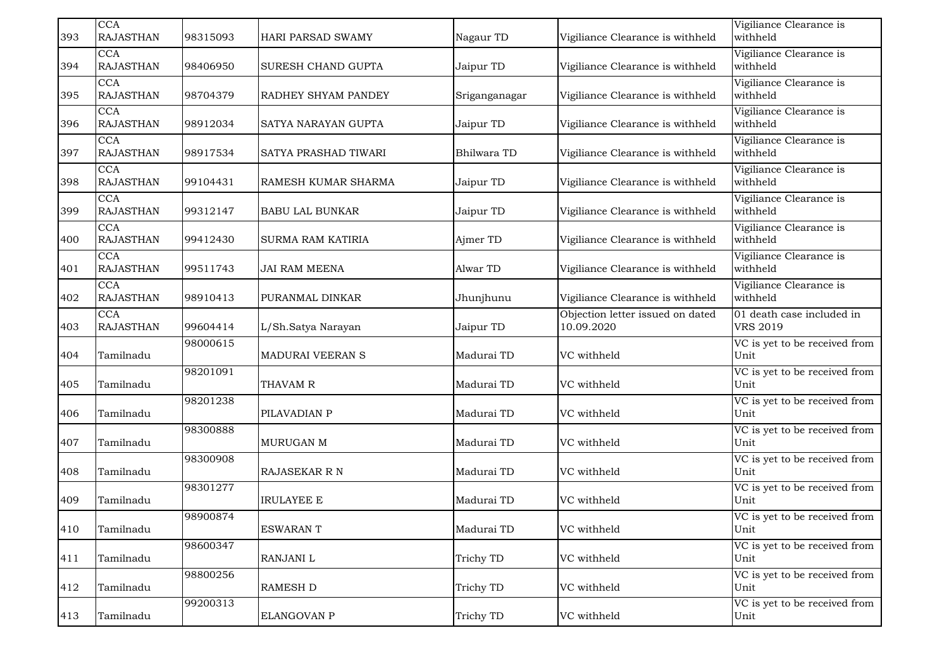| 393 | <b>CCA</b><br><b>RAJASTHAN</b> | 98315093 | HARI PARSAD SWAMY        | Nagaur TD     | Vigiliance Clearance is withheld               | Vigiliance Clearance is<br>withheld          |
|-----|--------------------------------|----------|--------------------------|---------------|------------------------------------------------|----------------------------------------------|
| 394 | <b>CCA</b><br><b>RAJASTHAN</b> | 98406950 | SURESH CHAND GUPTA       | Jaipur TD     | Vigiliance Clearance is withheld               | Vigiliance Clearance is<br>withheld          |
| 395 | <b>CCA</b><br><b>RAJASTHAN</b> | 98704379 | RADHEY SHYAM PANDEY      | Sriganganagar | Vigiliance Clearance is withheld               | Vigiliance Clearance is<br>withheld          |
| 396 | CCA<br><b>RAJASTHAN</b>        | 98912034 | SATYA NARAYAN GUPTA      | Jaipur TD     | Vigiliance Clearance is withheld               | Vigiliance Clearance is<br>withheld          |
| 397 | <b>CCA</b><br><b>RAJASTHAN</b> | 98917534 | SATYA PRASHAD TIWARI     | Bhilwara TD   | Vigiliance Clearance is withheld               | Vigiliance Clearance is<br>withheld          |
| 398 | <b>CCA</b><br><b>RAJASTHAN</b> | 99104431 | RAMESH KUMAR SHARMA      | Jaipur TD     | Vigiliance Clearance is withheld               | Vigiliance Clearance is<br>withheld          |
| 399 | <b>CCA</b><br><b>RAJASTHAN</b> | 99312147 | <b>BABU LAL BUNKAR</b>   | Jaipur TD     | Vigiliance Clearance is withheld               | Vigiliance Clearance is<br>withheld          |
| 400 | <b>CCA</b><br><b>RAJASTHAN</b> | 99412430 | <b>SURMA RAM KATIRIA</b> | Ajmer TD      | Vigiliance Clearance is withheld               | Vigiliance Clearance is<br>withheld          |
| 401 | <b>CCA</b><br><b>RAJASTHAN</b> | 99511743 | <b>JAI RAM MEENA</b>     | Alwar TD      | Vigiliance Clearance is withheld               | Vigiliance Clearance is<br>withheld          |
| 402 | <b>CCA</b><br><b>RAJASTHAN</b> | 98910413 | PURANMAL DINKAR          | Jhunjhunu     | Vigiliance Clearance is withheld               | Vigiliance Clearance is<br>withheld          |
| 403 | CCA<br><b>RAJASTHAN</b>        | 99604414 | L/Sh.Satya Narayan       | Jaipur TD     | Objection letter issued on dated<br>10.09.2020 | 01 death case included in<br><b>VRS 2019</b> |
| 404 | Tamilnadu                      | 98000615 | MADURAI VEERAN S         | Madurai TD    | VC withheld                                    | VC is yet to be received from<br>Unit        |
| 405 | Tamilnadu                      | 98201091 | THAVAM R                 | Madurai TD    | VC withheld                                    | VC is yet to be received from<br>Unit        |
| 406 | Tamilnadu                      | 98201238 | PILAVADIAN P             | Madurai TD    | VC withheld                                    | VC is yet to be received from<br>Unit        |
| 407 | Tamilnadu                      | 98300888 | MURUGAN M                | Madurai TD    | VC withheld                                    | VC is yet to be received from<br>Unit        |
| 408 | Tamilnadu                      | 98300908 | RAJASEKAR R N            | Madurai TD    | VC withheld                                    | VC is yet to be received from<br>Unit        |
| 409 | Tamilnadu                      | 98301277 | <b>IRULAYEE E</b>        | Madurai TD    | VC withheld                                    | VC is yet to be received from<br>Unit        |
| 410 | Tamilnadu                      | 98900874 | <b>ESWARANT</b>          | Madurai TD    | VC withheld                                    | VC is yet to be received from<br>Unit        |
| 411 | Tamilnadu                      | 98600347 | RANJANI L                | Trichy TD     | VC withheld                                    | VC is yet to be received from<br>Unit        |
| 412 | Tamilnadu                      | 98800256 | <b>RAMESH D</b>          | Trichy TD     | VC withheld                                    | VC is yet to be received from<br>Unit        |
| 413 | Tamilnadu                      | 99200313 | ELANGOVAN P              | Trichy TD     | VC withheld                                    | VC is yet to be received from<br>Unit        |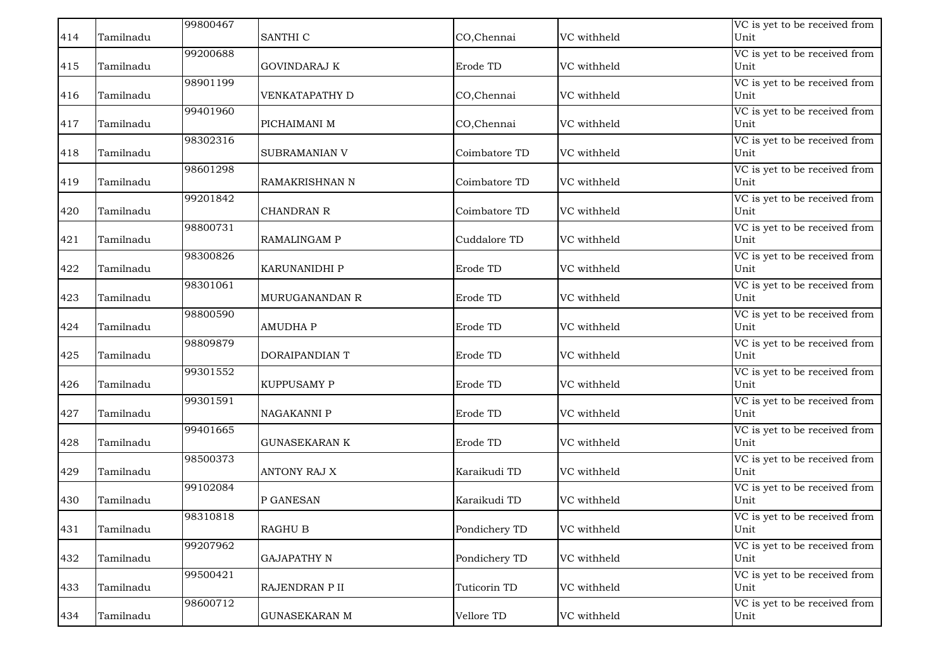|     |           | 99800467 |                      |               |             | VC is yet to be received from         |
|-----|-----------|----------|----------------------|---------------|-------------|---------------------------------------|
| 414 | Tamilnadu |          | SANTHI C             | CO, Chennai   | VC withheld | Unit                                  |
|     |           | 99200688 |                      |               |             | VC is yet to be received from         |
| 415 | Tamilnadu |          | <b>GOVINDARAJ K</b>  | Erode TD      | VC withheld | Unit                                  |
|     |           | 98901199 |                      |               |             | VC is yet to be received from         |
| 416 | Tamilnadu |          | VENKATAPATHY D       | CO, Chennai   | VC withheld | Unit                                  |
|     |           | 99401960 |                      |               |             | VC is yet to be received from         |
| 417 | Tamilnadu |          | PICHAIMANI M         | CO, Chennai   | VC withheld | Unit                                  |
|     |           | 98302316 |                      |               |             | VC is yet to be received from         |
| 418 | Tamilnadu |          | <b>SUBRAMANIAN V</b> | Coimbatore TD | VC withheld | Unit                                  |
|     |           | 98601298 |                      |               |             | VC is yet to be received from         |
| 419 | Tamilnadu |          | RAMAKRISHNAN N       | Coimbatore TD | VC withheld | Unit                                  |
|     |           | 99201842 |                      |               |             | VC is yet to be received from         |
| 420 | Tamilnadu |          | <b>CHANDRAN R</b>    | Coimbatore TD | VC withheld | Unit                                  |
|     |           | 98800731 |                      |               |             |                                       |
| 421 | Tamilnadu |          | <b>RAMALINGAM P</b>  | Cuddalore TD  | VC withheld | VC is yet to be received from<br>Unit |
|     |           |          |                      |               |             |                                       |
|     |           | 98300826 |                      |               |             | VC is yet to be received from         |
| 422 | Tamilnadu |          | <b>KARUNANIDHI P</b> | Erode TD      | VC withheld | Unit                                  |
|     |           | 98301061 |                      |               |             | VC is yet to be received from         |
| 423 | Tamilnadu |          | MURUGANANDAN R       | Erode TD      | VC withheld | Unit                                  |
|     |           | 98800590 |                      |               |             | VC is yet to be received from         |
| 424 | Tamilnadu |          | <b>AMUDHAP</b>       | Erode TD      | VC withheld | Unit                                  |
|     |           | 98809879 |                      |               |             | VC is yet to be received from         |
| 425 | Tamilnadu |          | DORAIPANDIAN T       | Erode TD      | VC withheld | Unit                                  |
|     |           | 99301552 |                      |               |             | VC is yet to be received from         |
| 426 | Tamilnadu |          | KUPPUSAMY P          | Erode TD      | VC withheld | Unit                                  |
|     |           | 99301591 |                      |               |             | VC is yet to be received from         |
| 427 | Tamilnadu |          | <b>NAGAKANNI P</b>   | Erode TD      | VC withheld | Unit                                  |
|     |           | 99401665 |                      |               |             | VC is yet to be received from         |
| 428 | Tamilnadu |          | <b>GUNASEKARAN K</b> | Erode TD      | VC withheld | Unit                                  |
|     |           | 98500373 |                      |               |             | VC is yet to be received from         |
| 429 | Tamilnadu |          | <b>ANTONY RAJ X</b>  | Karaikudi TD  | VC withheld | Unit                                  |
|     |           | 99102084 |                      |               |             | VC is yet to be received from         |
| 430 | Tamilnadu |          | P GANESAN            | Karaikudi TD  | VC withheld | Unit                                  |
|     |           | 98310818 |                      |               |             | VC is yet to be received from         |
| 431 | Tamilnadu |          | <b>RAGHU B</b>       | Pondichery TD | VC withheld | Unit                                  |
|     |           | 99207962 |                      |               |             | VC is yet to be received from         |
| 432 | Tamilnadu |          | <b>GAJAPATHY N</b>   | Pondichery TD | VC withheld | Unit                                  |
|     |           |          |                      |               |             |                                       |
| 433 | Tamilnadu | 99500421 | RAJENDRAN P II       | Tuticorin TD  | VC withheld | VC is yet to be received from<br>Unit |
|     |           |          |                      |               |             |                                       |
|     |           | 98600712 |                      |               |             | VC is yet to be received from         |
| 434 | Tamilnadu |          | <b>GUNASEKARAN M</b> | Vellore TD    | VC withheld | Unit                                  |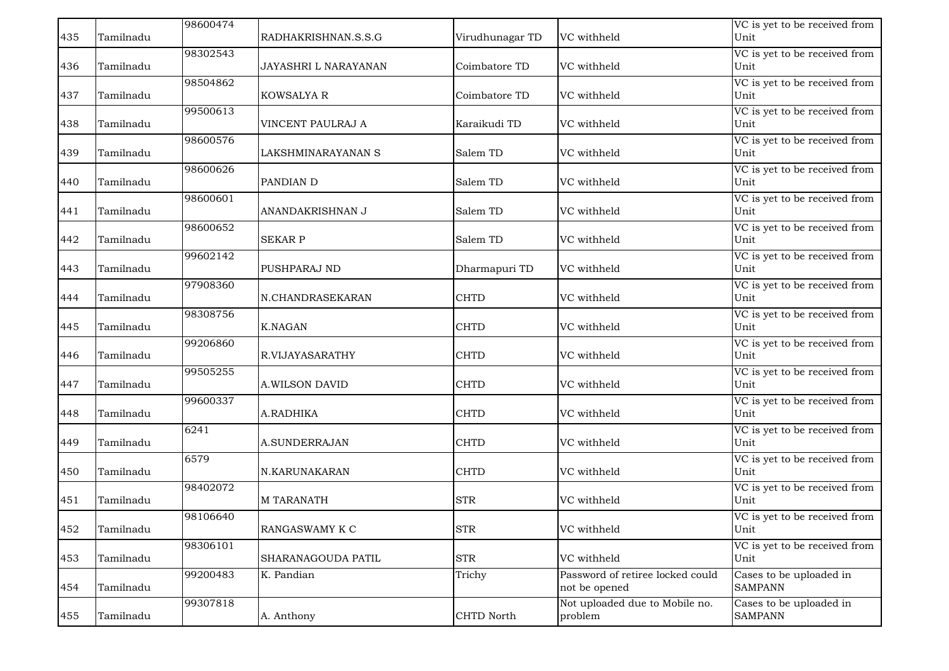|     |           | 98600474 |                      |                 |                                  | VC is yet to be received from         |
|-----|-----------|----------|----------------------|-----------------|----------------------------------|---------------------------------------|
| 435 | Tamilnadu |          | RADHAKRISHNAN.S.S.G  | Virudhunagar TD | VC withheld                      | Unit                                  |
|     |           | 98302543 |                      |                 |                                  | VC is yet to be received from         |
| 436 | Tamilnadu |          | JAYASHRI L NARAYANAN | Coimbatore TD   | VC withheld                      | Unit                                  |
|     |           | 98504862 |                      |                 |                                  | VC is yet to be received from         |
| 437 | Tamilnadu |          | <b>KOWSALYA R</b>    | Coimbatore TD   | VC withheld                      | Unit                                  |
|     |           | 99500613 |                      |                 |                                  | VC is yet to be received from         |
| 438 | Tamilnadu |          | VINCENT PAULRAJ A    | Karaikudi TD    | VC withheld                      | Unit                                  |
|     |           | 98600576 |                      |                 |                                  | VC is yet to be received from         |
| 439 | Tamilnadu |          | LAKSHMINARAYANAN S   | Salem TD        | VC withheld                      | Unit                                  |
|     |           | 98600626 |                      |                 |                                  | VC is yet to be received from         |
| 440 | Tamilnadu |          | PANDIAN D            | Salem TD        | VC withheld                      | Unit                                  |
|     |           |          |                      |                 |                                  |                                       |
|     |           | 98600601 |                      |                 |                                  | VC is yet to be received from         |
| 441 | Tamilnadu |          | ANANDAKRISHNAN J     | Salem TD        | VC withheld                      | Unit                                  |
|     |           | 98600652 |                      |                 |                                  | VC is yet to be received from         |
| 442 | Tamilnadu |          | <b>SEKAR P</b>       | Salem TD        | VC withheld                      | Unit                                  |
|     |           | 99602142 |                      |                 |                                  | VC is yet to be received from         |
| 443 | Tamilnadu |          | PUSHPARAJ ND         | Dharmapuri TD   | VC withheld                      | Unit                                  |
|     |           | 97908360 |                      |                 |                                  | VC is yet to be received from         |
| 444 | Tamilnadu |          | N.CHANDRASEKARAN     | <b>CHTD</b>     | VC withheld                      | Unit                                  |
|     |           | 98308756 |                      |                 |                                  | VC is yet to be received from         |
| 445 | Tamilnadu |          | <b>K.NAGAN</b>       | <b>CHTD</b>     | VC withheld                      | Unit                                  |
|     |           | 99206860 |                      |                 |                                  | VC is yet to be received from         |
| 446 | Tamilnadu |          | R.VIJAYASARATHY      | <b>CHTD</b>     | VC withheld                      | Unit                                  |
|     |           |          |                      |                 |                                  |                                       |
| 447 | Tamilnadu | 99505255 | A.WILSON DAVID       | <b>CHTD</b>     | VC withheld                      | VC is yet to be received from<br>Unit |
|     |           |          |                      |                 |                                  |                                       |
|     |           | 99600337 |                      |                 |                                  | VC is yet to be received from         |
| 448 | Tamilnadu |          | A.RADHIKA            | <b>CHTD</b>     | VC withheld                      | Unit                                  |
|     |           | 6241     |                      |                 |                                  | VC is yet to be received from         |
| 449 | Tamilnadu |          | A.SUNDERRAJAN        | <b>CHTD</b>     | VC withheld                      | Unit                                  |
|     |           | 6579     |                      |                 |                                  | VC is yet to be received from         |
| 450 | Tamilnadu |          | N.KARUNAKARAN        | <b>CHTD</b>     | VC withheld                      | Unit                                  |
|     |           | 98402072 |                      |                 |                                  | VC is yet to be received from         |
| 451 | Tamilnadu |          | <b>M TARANATH</b>    | <b>STR</b>      | VC withheld                      | Unit                                  |
|     |           | 98106640 |                      |                 |                                  | VC is yet to be received from         |
| 452 | Tamilnadu |          | RANGASWAMY K C       | <b>STR</b>      | VC withheld                      | Unit                                  |
|     |           | 98306101 |                      |                 |                                  | VC is yet to be received from         |
| 453 | Tamilnadu |          | SHARANAGOUDA PATIL   | <b>STR</b>      | VC withheld                      | Unit                                  |
|     |           |          |                      |                 |                                  |                                       |
|     |           | 99200483 | K. Pandian           | Trichy          | Password of retiree locked could | Cases to be uploaded in               |
| 454 | Tamilnadu |          |                      |                 | not be opened                    | <b>SAMPANN</b>                        |
|     |           | 99307818 |                      |                 | Not uploaded due to Mobile no.   | Cases to be uploaded in               |
| 455 | Tamilnadu |          | A. Anthony           | CHTD North      | problem                          | <b>SAMPANN</b>                        |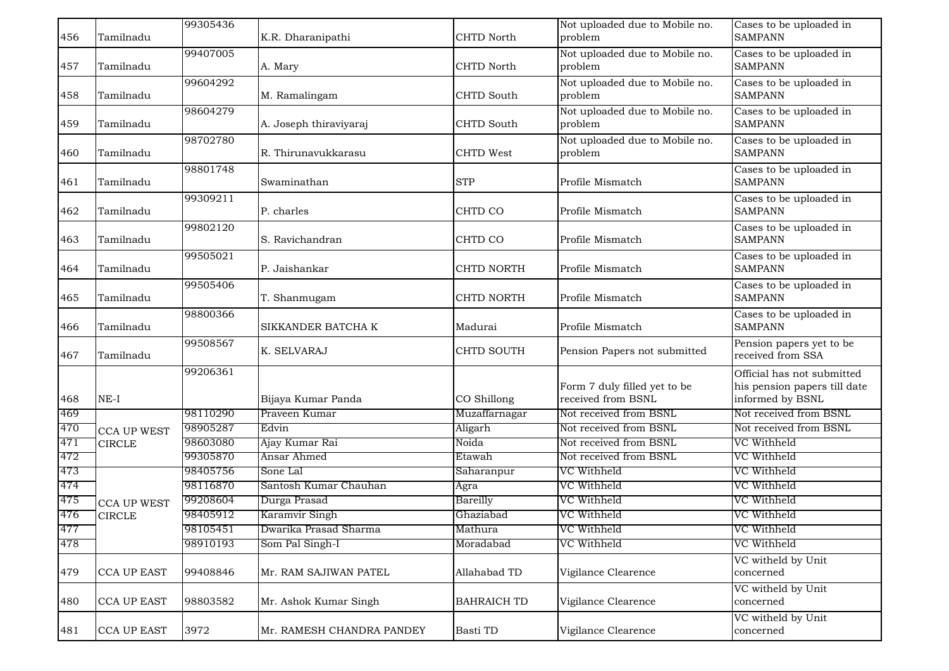| 456 | Tamilnadu          | 99305436 | K.R. Dharanipathi         | CHTD North         | Not uploaded due to Mobile no.<br>problem          | Cases to be uploaded in<br><b>SAMPANN</b>                                      |
|-----|--------------------|----------|---------------------------|--------------------|----------------------------------------------------|--------------------------------------------------------------------------------|
| 457 | Tamilnadu          | 99407005 | A. Mary                   | <b>CHTD North</b>  | Not uploaded due to Mobile no.<br>problem          | Cases to be uploaded in<br><b>SAMPANN</b>                                      |
| 458 | Tamilnadu          | 99604292 | M. Ramalingam             | CHTD South         | Not uploaded due to Mobile no.<br>problem          | Cases to be uploaded in<br><b>SAMPANN</b>                                      |
| 459 | Tamilnadu          | 98604279 | A. Joseph thiraviyaraj    | <b>CHTD South</b>  | Not uploaded due to Mobile no.<br>problem          | Cases to be uploaded in<br><b>SAMPANN</b>                                      |
| 460 | Tamilnadu          | 98702780 | R. Thirunavukkarasu       | CHTD West          | Not uploaded due to Mobile no.<br>problem          | Cases to be uploaded in<br><b>SAMPANN</b>                                      |
| 461 | Tamilnadu          | 98801748 | Swaminathan               | <b>STP</b>         | Profile Mismatch                                   | Cases to be uploaded in<br><b>SAMPANN</b>                                      |
| 462 | Tamilnadu          | 99309211 | P. charles                | CHTD CO            | Profile Mismatch                                   | Cases to be uploaded in<br><b>SAMPANN</b>                                      |
| 463 | Tamilnadu          | 99802120 | S. Ravichandran           | CHTD CO            | Profile Mismatch                                   | Cases to be uploaded in<br><b>SAMPANN</b>                                      |
| 464 | Tamilnadu          | 99505021 | P. Jaishankar             | <b>CHTD NORTH</b>  | Profile Mismatch                                   | Cases to be uploaded in<br><b>SAMPANN</b>                                      |
| 465 | Tamilnadu          | 99505406 | T. Shanmugam              | CHTD NORTH         | Profile Mismatch                                   | Cases to be uploaded in<br><b>SAMPANN</b>                                      |
| 466 | Tamilnadu          | 98800366 | SIKKANDER BATCHA K        | Madurai            | Profile Mismatch                                   | Cases to be uploaded in<br><b>SAMPANN</b>                                      |
| 467 | Tamilnadu          | 99508567 | K. SELVARAJ               | <b>CHTD SOUTH</b>  | Pension Papers not submitted                       | Pension papers yet to be<br>received from SSA                                  |
| 468 | $NE-I$             | 99206361 | Bijaya Kumar Panda        | CO Shillong        | Form 7 duly filled yet to be<br>received from BSNL | Official has not submitted<br>his pension papers till date<br>informed by BSNL |
| 469 |                    | 98110290 | Praveen Kumar             | Muzaffarnagar      | Not received from BSNL                             | Not received from BSNL                                                         |
| 470 | <b>CCA UP WEST</b> | 98905287 | Edvin                     | Aligarh            | Not received from BSNL                             | Not received from BSNL                                                         |
| 471 | <b>CIRCLE</b>      | 98603080 | Ajay Kumar Rai            | Noida              | Not received from BSNL                             | VC Withheld                                                                    |
| 472 |                    | 99305870 | Ansar Ahmed               | Etawah             | Not received from BSNL                             | VC Withheld                                                                    |
| 473 |                    | 98405756 | Sone Lal                  | Saharanpur         | VC Withheld                                        | VC Withheld                                                                    |
| 474 |                    | 98116870 | Santosh Kumar Chauhan     | Agra               | VC Withheld                                        | VC Withheld                                                                    |
| 475 | <b>CCA UP WEST</b> | 99208604 | Durga Prasad              | Bareilly           | VC Withheld                                        | VC Withheld                                                                    |
| 476 | <b>CIRCLE</b>      | 98405912 | Karamvir Singh            | Ghaziabad          | VC Withheld                                        | VC Withheld                                                                    |
| 477 |                    | 98105451 | Dwarika Prasad Sharma     | Mathura            | VC Withheld                                        | VC Withheld                                                                    |
| 478 |                    | 98910193 | Som Pal Singh-I           | Moradabad          | VC Withheld                                        | VC Withheld                                                                    |
| 479 | <b>CCA UP EAST</b> | 99408846 | Mr. RAM SAJIWAN PATEL     | Allahabad TD       | Vigilance Clearence                                | VC witheld by Unit<br>concerned                                                |
| 480 | <b>CCA UP EAST</b> | 98803582 | Mr. Ashok Kumar Singh     | <b>BAHRAICH TD</b> | Vigilance Clearence                                | VC witheld by Unit<br>concerned                                                |
| 481 | <b>CCA UP EAST</b> | 3972     | Mr. RAMESH CHANDRA PANDEY | Basti TD           | Vigilance Clearence                                | VC witheld by Unit<br>concerned                                                |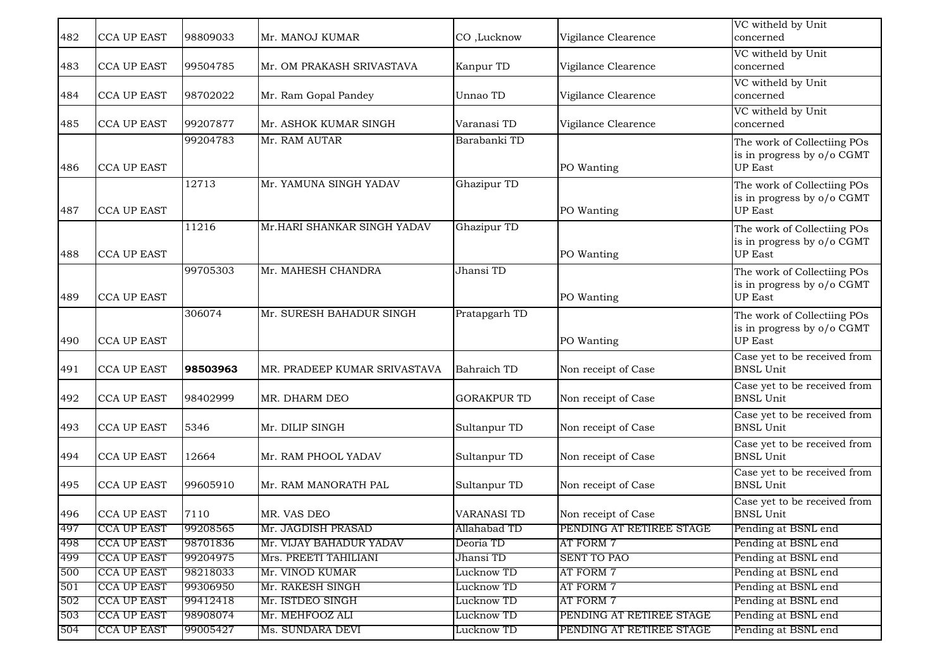| 482        | <b>CCA UP EAST</b>                       | 98809033             | Mr. MANOJ KUMAR                                  | CO,Lucknow             | Vigilance Clearence             | VC witheld by Unit<br>concerned                                             |
|------------|------------------------------------------|----------------------|--------------------------------------------------|------------------------|---------------------------------|-----------------------------------------------------------------------------|
| 483        | <b>CCA UP EAST</b>                       | 99504785             | Mr. OM PRAKASH SRIVASTAVA                        | Kanpur TD              | Vigilance Clearence             | VC witheld by Unit<br>concerned                                             |
| 484        | <b>CCA UP EAST</b>                       | 98702022             | Mr. Ram Gopal Pandey                             | Unnao TD               | Vigilance Clearence             | VC witheld by Unit<br>concerned                                             |
| 485        | <b>CCA UP EAST</b>                       | 99207877             | Mr. ASHOK KUMAR SINGH                            | Varanasi TD            | Vigilance Clearence             | VC witheld by Unit<br>concerned                                             |
| 486        | <b>CCA UP EAST</b>                       | 99204783             | Mr. RAM AUTAR                                    | Barabanki TD           | PO Wanting                      | The work of Collectiing POs<br>is in progress by o/o CGMT<br><b>UP East</b> |
| 487        | <b>CCA UP EAST</b>                       | 12713                | Mr. YAMUNA SINGH YADAV                           | Ghazipur TD            | PO Wanting                      | The work of Collectiing POs<br>is in progress by o/o CGMT<br><b>UP East</b> |
| 488        | <b>CCA UP EAST</b>                       | 11216                | Mr.HARI SHANKAR SINGH YADAV                      | Ghazipur TD            | PO Wanting                      | The work of Collectiing POs<br>is in progress by o/o CGMT<br><b>UP East</b> |
| 489        | <b>CCA UP EAST</b>                       | 99705303             | Mr. MAHESH CHANDRA                               | Jhansi TD              | PO Wanting                      | The work of Collectiing POs<br>is in progress by o/o CGMT<br><b>UP East</b> |
| 490        | <b>CCA UP EAST</b>                       | 306074               | Mr. SURESH BAHADUR SINGH                         | Pratapgarh TD          | PO Wanting                      | The work of Collectiing POs<br>is in progress by o/o CGMT<br><b>UP East</b> |
| 491        | <b>CCA UP EAST</b>                       | 98503963             | MR. PRADEEP KUMAR SRIVASTAVA                     | Bahraich TD            | Non receipt of Case             | Case yet to be received from<br><b>BNSL Unit</b>                            |
| 492        | <b>CCA UP EAST</b>                       | 98402999             | MR. DHARM DEO                                    | <b>GORAKPUR TD</b>     | Non receipt of Case             | Case yet to be received from<br><b>BNSL Unit</b>                            |
| 493        | <b>CCA UP EAST</b>                       | 5346                 | Mr. DILIP SINGH                                  | Sultanpur TD           | Non receipt of Case             | Case yet to be received from<br><b>BNSL Unit</b>                            |
| 494        | <b>CCA UP EAST</b>                       | 12664                | Mr. RAM PHOOL YADAV                              | Sultanpur TD           | Non receipt of Case             | Case yet to be received from<br><b>BNSL Unit</b>                            |
| 495        | <b>CCA UP EAST</b>                       | 99605910             | Mr. RAM MANORATH PAL                             | Sultanpur TD           | Non receipt of Case             | Case yet to be received from<br><b>BNSL Unit</b>                            |
| 496        | <b>CCA UP EAST</b>                       | 7110                 | MR. VAS DEO                                      | <b>VARANASI TD</b>     | Non receipt of Case             | Case yet to be received from<br><b>BNSL Unit</b>                            |
| 497        | <b>CCA UP EAST</b>                       | 99208565             | Mr. JAGDISH PRASAD                               | Allahabad TD           | PENDING AT RETIREE STAGE        | Pending at BSNL end                                                         |
| 498<br>499 | <b>CCA UP EAST</b><br><b>CCA UP EAST</b> | 98701836<br>99204975 | Mr. VIJAY BAHADUR YADAV<br>Mrs. PREETI TAHILIANI | Deoria TD<br>Jhansi TD | AT FORM 7<br><b>SENT TO PAO</b> | Pending at BSNL end<br>Pending at BSNL end                                  |
| 500        | <b>CCA UP EAST</b>                       | 98218033             | Mr. VINOD KUMAR                                  | Lucknow TD             | AT FORM 7                       | Pending at BSNL end                                                         |
| 501        | <b>CCA UP EAST</b>                       | 99306950             | Mr. RAKESH SINGH                                 | Lucknow TD             | AT FORM 7                       | Pending at BSNL end                                                         |
| 502        | <b>CCA UP EAST</b>                       | 99412418             | Mr. ISTDEO SINGH                                 | Lucknow TD             | AT FORM 7                       | Pending at BSNL end                                                         |
| 503        | <b>CCA UP EAST</b>                       | 98908074             | Mr. MEHFOOZ ALI                                  | Lucknow TD             | PENDING AT RETIREE STAGE        | Pending at BSNL end                                                         |
| 504        | <b>CCA UP EAST</b>                       | 99005427             | Ms. SUNDARA DEVI                                 | Lucknow TD             | PENDING AT RETIREE STAGE        | Pending at BSNL end                                                         |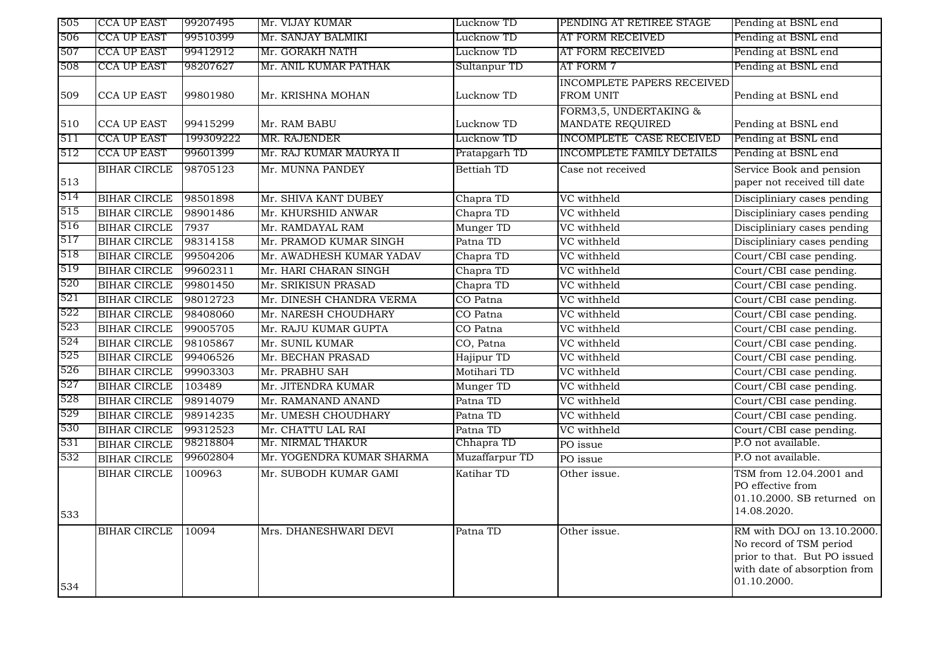| 505 | <b>CCA UP EAST</b>  | 99207495  | Mr. VIJAY KUMAR           | Lucknow TD     | PENDING AT RETIREE STAGE                       | Pending at BSNL end                                                                                                                  |
|-----|---------------------|-----------|---------------------------|----------------|------------------------------------------------|--------------------------------------------------------------------------------------------------------------------------------------|
| 506 | <b>CCA UP EAST</b>  | 99510399  | Mr. SANJAY BALMIKI        | Lucknow TD     | AT FORM RECEIVED                               | Pending at BSNL end                                                                                                                  |
| 507 | <b>CCA UP EAST</b>  | 99412912  | Mr. GORAKH NATH           | Lucknow TD     | AT FORM RECEIVED                               | Pending at BSNL end                                                                                                                  |
| 508 | CCA UP EAST         | 98207627  | Mr. ANIL KUMAR PATHAK     | Sultanpur TD   | AT FORM 7                                      | Pending at BSNL end                                                                                                                  |
| 509 | <b>CCA UP EAST</b>  | 99801980  | Mr. KRISHNA MOHAN         | Lucknow TD     | INCOMPLETE PAPERS RECEIVED<br><b>FROM UNIT</b> | Pending at BSNL end                                                                                                                  |
| 510 | <b>CCA UP EAST</b>  | 99415299  | Mr. RAM BABU              | Lucknow TD     | FORM3,5, UNDERTAKING &<br>MANDATE REQUIRED     | Pending at BSNL end                                                                                                                  |
| 511 | <b>CCA UP EAST</b>  | 199309222 | MR. RAJENDER              | Lucknow TD     | INCOMPLETE CASE RECEIVED                       | Pending at BSNL end                                                                                                                  |
| 512 | <b>CCA UP EAST</b>  | 99601399  | Mr. RAJ KUMAR MAURYA II   | Pratapgarh TD  | <b>INCOMPLETE FAMILY DETAILS</b>               | Pending at BSNL end                                                                                                                  |
| 513 | <b>BIHAR CIRCLE</b> | 98705123  | Mr. MUNNA PANDEY          | Bettiah TD     | Case not received                              | Service Book and pension<br>paper not received till date                                                                             |
| 514 | <b>BIHAR CIRCLE</b> | 98501898  | Mr. SHIVA KANT DUBEY      | Chapra TD      | VC withheld                                    | Discipliniary cases pending                                                                                                          |
| 515 | <b>BIHAR CIRCLE</b> | 98901486  | Mr. KHURSHID ANWAR        | Chapra TD      | VC withheld                                    | Discipliniary cases pending                                                                                                          |
| 516 | <b>BIHAR CIRCLE</b> | 7937      | Mr. RAMDAYAL RAM          | Munger TD      | VC withheld                                    | Discipliniary cases pending                                                                                                          |
| 517 | <b>BIHAR CIRCLE</b> | 98314158  | Mr. PRAMOD KUMAR SINGH    | Patna TD       | VC withheld                                    | Discipliniary cases pending                                                                                                          |
| 518 | <b>BIHAR CIRCLE</b> | 99504206  | Mr. AWADHESH KUMAR YADAV  | Chapra TD      | VC withheld                                    | Court/CBI case pending.                                                                                                              |
| 519 | <b>BIHAR CIRCLE</b> | 99602311  | Mr. HARI CHARAN SINGH     | Chapra TD      | VC withheld                                    | Court/CBI case pending.                                                                                                              |
| 520 | <b>BIHAR CIRCLE</b> | 99801450  | Mr. SRIKISUN PRASAD       | Chapra TD      | VC withheld                                    | Court/CBI case pending.                                                                                                              |
| 521 | <b>BIHAR CIRCLE</b> | 98012723  | Mr. DINESH CHANDRA VERMA  | CO Patna       | VC withheld                                    | Court/CBI case pending.                                                                                                              |
| 522 | <b>BIHAR CIRCLE</b> | 98408060  | Mr. NARESH CHOUDHARY      | CO Patna       | VC withheld                                    | Court/CBI case pending.                                                                                                              |
| 523 | <b>BIHAR CIRCLE</b> | 99005705  | Mr. RAJU KUMAR GUPTA      | CO Patna       | VC withheld                                    | Court/CBI case pending.                                                                                                              |
| 524 | <b>BIHAR CIRCLE</b> | 98105867  | Mr. SUNIL KUMAR           | CO, Patna      | VC withheld                                    | Court/CBI case pending.                                                                                                              |
| 525 | <b>BIHAR CIRCLE</b> | 99406526  | Mr. BECHAN PRASAD         | Hajipur TD     | VC withheld                                    | Court/CBI case pending.                                                                                                              |
| 526 | <b>BIHAR CIRCLE</b> | 99903303  | Mr. PRABHU SAH            | Motihari TD    | VC withheld                                    | Court/CBI case pending.                                                                                                              |
| 527 | <b>BIHAR CIRCLE</b> | 103489    | Mr. JITENDRA KUMAR        | Munger TD      | VC withheld                                    | Court/CBI case pending.                                                                                                              |
| 528 | <b>BIHAR CIRCLE</b> | 98914079  | Mr. RAMANAND ANAND        | Patna TD       | VC withheld                                    | Court/CBI case pending.                                                                                                              |
| 529 | <b>BIHAR CIRCLE</b> | 98914235  | Mr. UMESH CHOUDHARY       | Patna TD       | VC withheld                                    | Court/CBI case pending.                                                                                                              |
| 530 | <b>BIHAR CIRCLE</b> | 99312523  | Mr. CHATTU LAL RAI        | Patna TD       | VC withheld                                    | Court/CBI case pending.                                                                                                              |
| 531 | <b>BIHAR CIRCLE</b> | 98218804  | Mr. NIRMAL THAKUR         | Chhapra TD     | PO issue                                       | P.O not available.                                                                                                                   |
| 532 | <b>BIHAR CIRCLE</b> | 99602804  | Mr. YOGENDRA KUMAR SHARMA | Muzaffarpur TD | PO issue                                       | P.O not available.                                                                                                                   |
| 533 | <b>BIHAR CIRCLE</b> | 100963    | Mr. SUBODH KUMAR GAMI     | Katihar TD     | Other issue.                                   | TSM from 12.04.2001 and<br>PO effective from<br>01.10.2000. SB returned on<br>14.08.2020.                                            |
| 534 | <b>BIHAR CIRCLE</b> | 10094     | Mrs. DHANESHWARI DEVI     | Patna TD       | Other issue.                                   | RM with DOJ on 13.10.2000.<br>No record of TSM period<br>prior to that. But PO issued<br>with date of absorption from<br>01.10.2000. |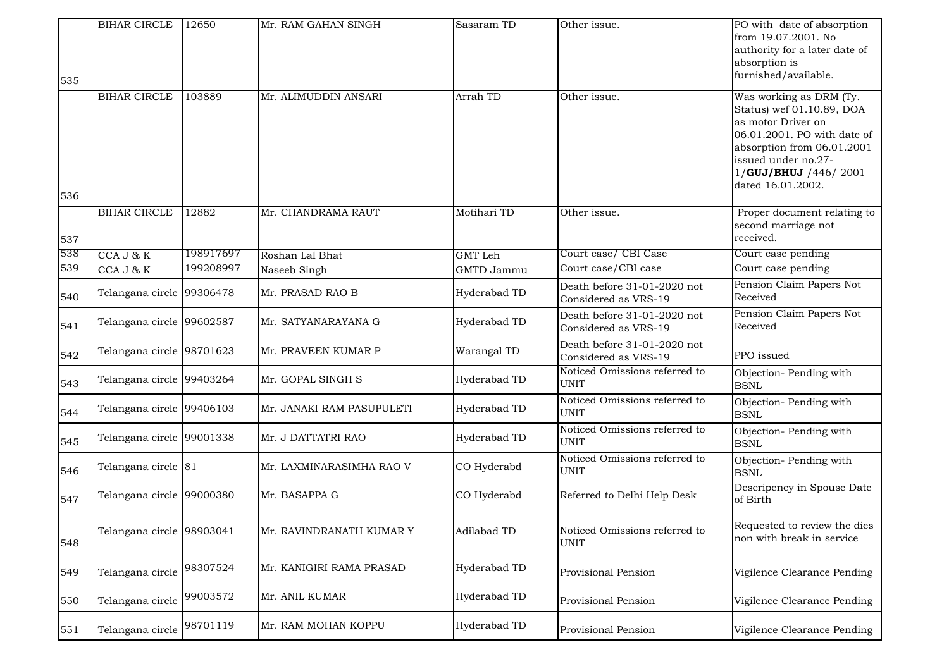| 535 | <b>BIHAR CIRCLE</b>       | 12650     | Mr. RAM GAHAN SINGH       | Sasaram TD        | Other issue.                                        | PO with date of absorption<br>from 19.07.2001. No<br>authority for a later date of<br>absorption is<br>furnished/available.                                                                                 |
|-----|---------------------------|-----------|---------------------------|-------------------|-----------------------------------------------------|-------------------------------------------------------------------------------------------------------------------------------------------------------------------------------------------------------------|
| 536 | <b>BIHAR CIRCLE</b>       | 103889    | Mr. ALIMUDDIN ANSARI      | Arrah TD          | Other issue.                                        | Was working as DRM (Ty.<br>Status) wef 01.10.89, DOA<br>as motor Driver on<br>06.01.2001. PO with date of<br>absorption from 06.01.2001<br>issued under no.27-<br>1/GUJ/BHUJ /446/2001<br>dated 16.01.2002. |
|     | <b>BIHAR CIRCLE</b>       | 12882     | Mr. CHANDRAMA RAUT        | Motihari TD       | Other issue.                                        | Proper document relating to                                                                                                                                                                                 |
| 537 |                           |           |                           |                   |                                                     | second marriage not<br>received.                                                                                                                                                                            |
| 538 | CCA J & K                 | 198917697 | Roshan Lal Bhat           | <b>GMT</b> Leh    | Court case/ CBI Case                                | Court case pending                                                                                                                                                                                          |
| 539 | CCA J & K                 | 199208997 | Naseeb Singh              | <b>GMTD Jammu</b> | Court case/CBI case                                 | Court case pending                                                                                                                                                                                          |
| 540 | Telangana circle 99306478 |           | Mr. PRASAD RAO B          | Hyderabad TD      | Death before 31-01-2020 not<br>Considered as VRS-19 | Pension Claim Papers Not<br>Received                                                                                                                                                                        |
| 541 | Telangana circle 99602587 |           | Mr. SATYANARAYANA G       | Hyderabad TD      | Death before 31-01-2020 not<br>Considered as VRS-19 | Pension Claim Papers Not<br>Received                                                                                                                                                                        |
| 542 | Telangana circle 98701623 |           | Mr. PRAVEEN KUMAR P       | Warangal TD       | Death before 31-01-2020 not<br>Considered as VRS-19 | PPO issued                                                                                                                                                                                                  |
| 543 | Telangana circle 99403264 |           | Mr. GOPAL SINGH S         | Hyderabad TD      | Noticed Omissions referred to<br><b>UNIT</b>        | Objection-Pending with<br><b>BSNL</b>                                                                                                                                                                       |
| 544 | Telangana circle 99406103 |           | Mr. JANAKI RAM PASUPULETI | Hyderabad TD      | Noticed Omissions referred to<br><b>UNIT</b>        | Objection-Pending with<br><b>BSNL</b>                                                                                                                                                                       |
| 545 | Telangana circle 99001338 |           | Mr. J DATTATRI RAO        | Hyderabad TD      | Noticed Omissions referred to<br><b>UNIT</b>        | Objection-Pending with<br><b>BSNL</b>                                                                                                                                                                       |
| 546 | Telangana circle 81       |           | Mr. LAXMINARASIMHA RAO V  | CO Hyderabd       | Noticed Omissions referred to<br><b>UNIT</b>        | Objection-Pending with<br><b>BSNL</b>                                                                                                                                                                       |
| 547 | Telangana circle 99000380 |           | Mr. BASAPPA G             | CO Hyderabd       | Referred to Delhi Help Desk                         | Descripency in Spouse Date<br>of Birth                                                                                                                                                                      |
| 548 | Telangana circle 98903041 |           | Mr. RAVINDRANATH KUMAR Y  | Adilabad TD       | Noticed Omissions referred to<br><b>UNIT</b>        | Requested to review the dies<br>non with break in service                                                                                                                                                   |
| 549 | Telangana circle          | 98307524  | Mr. KANIGIRI RAMA PRASAD  | Hyderabad TD      | Provisional Pension                                 | Vigilence Clearance Pending                                                                                                                                                                                 |
| 550 | Telangana circle          | 99003572  | Mr. ANIL KUMAR            | Hyderabad TD      | Provisional Pension                                 | Vigilence Clearance Pending                                                                                                                                                                                 |
| 551 | Telangana circle          | 98701119  | Mr. RAM MOHAN KOPPU       | Hyderabad TD      | Provisional Pension                                 | Vigilence Clearance Pending                                                                                                                                                                                 |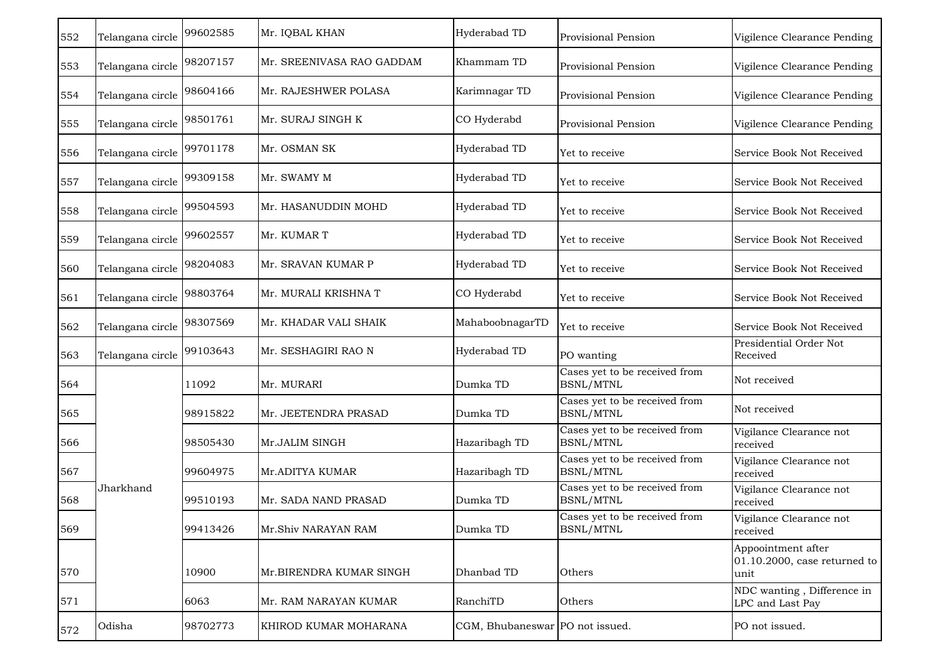| 552 | Telangana circle | 99602585 | Mr. IQBAL KHAN            | Hyderabad TD                    | Provisional Pension                               | Vigilence Clearance Pending                                   |
|-----|------------------|----------|---------------------------|---------------------------------|---------------------------------------------------|---------------------------------------------------------------|
| 553 | Telangana circle | 98207157 | Mr. SREENIVASA RAO GADDAM | Khammam TD                      | Provisional Pension                               | Vigilence Clearance Pending                                   |
| 554 | Telangana circle | 98604166 | Mr. RAJESHWER POLASA      | Karimnagar TD                   | Provisional Pension                               | Vigilence Clearance Pending                                   |
| 555 | Telangana circle | 98501761 | Mr. SURAJ SINGH K         | CO Hyderabd                     | Provisional Pension                               | Vigilence Clearance Pending                                   |
| 556 | Telangana circle | 99701178 | Mr. OSMAN SK              | Hyderabad TD                    | Yet to receive                                    | Service Book Not Received                                     |
| 557 | Telangana circle | 99309158 | Mr. SWAMY M               | Hyderabad TD                    | Yet to receive                                    | Service Book Not Received                                     |
| 558 | Telangana circle | 99504593 | Mr. HASANUDDIN MOHD       | Hyderabad TD                    | Yet to receive                                    | Service Book Not Received                                     |
| 559 | Telangana circle | 99602557 | Mr. KUMAR T               | Hyderabad TD                    | Yet to receive                                    | Service Book Not Received                                     |
| 560 | Telangana circle | 98204083 | Mr. SRAVAN KUMAR P        | Hyderabad TD                    | Yet to receive                                    | Service Book Not Received                                     |
| 561 | Telangana circle | 98803764 | Mr. MURALI KRISHNA T      | CO Hyderabd                     | Yet to receive                                    | Service Book Not Received                                     |
| 562 | Telangana circle | 98307569 | Mr. KHADAR VALI SHAIK     | MahaboobnagarTD                 | Yet to receive                                    | Service Book Not Received                                     |
| 563 | Telangana circle | 99103643 | Mr. SESHAGIRI RAO N       | Hyderabad TD                    | PO wanting                                        | Presidential Order Not<br>Received                            |
| 564 |                  | 11092    | Mr. MURARI                | Dumka TD                        | Cases yet to be received from<br>BSNL/MTNL        | Not received                                                  |
| 565 |                  | 98915822 | Mr. JEETENDRA PRASAD      | Dumka TD                        | Cases yet to be received from<br><b>BSNL/MTNL</b> | Not received                                                  |
| 566 |                  | 98505430 | Mr.JALIM SINGH            | Hazaribagh TD                   | Cases yet to be received from<br><b>BSNL/MTNL</b> | Vigilance Clearance not<br>received                           |
| 567 |                  | 99604975 | Mr.ADITYA KUMAR           | Hazaribagh TD                   | Cases yet to be received from<br><b>BSNL/MTNL</b> | Vigilance Clearance not<br>received                           |
| 568 | Jharkhand        | 99510193 | Mr. SADA NAND PRASAD      | Dumka TD                        | Cases yet to be received from<br>BSNL/MTNL        | Vigilance Clearance not<br>received                           |
| 569 |                  | 99413426 | Mr.Shiv NARAYAN RAM       | Dumka TD                        | Cases yet to be received from<br><b>BSNL/MTNL</b> | Vigilance Clearance not<br>received                           |
| 570 |                  | 10900    | Mr.BIRENDRA KUMAR SINGH   | Dhanbad TD                      | Others                                            | Appoointment after<br>$01.10.2000$ , case returned to<br>unit |
| 571 |                  | 6063     | Mr. RAM NARAYAN KUMAR     | RanchiTD                        | Others                                            | NDC wanting, Difference in<br>LPC and Last Pay                |
| 572 | Odisha           | 98702773 | KHIROD KUMAR MOHARANA     | CGM, Bhubaneswar PO not issued. |                                                   | PO not issued.                                                |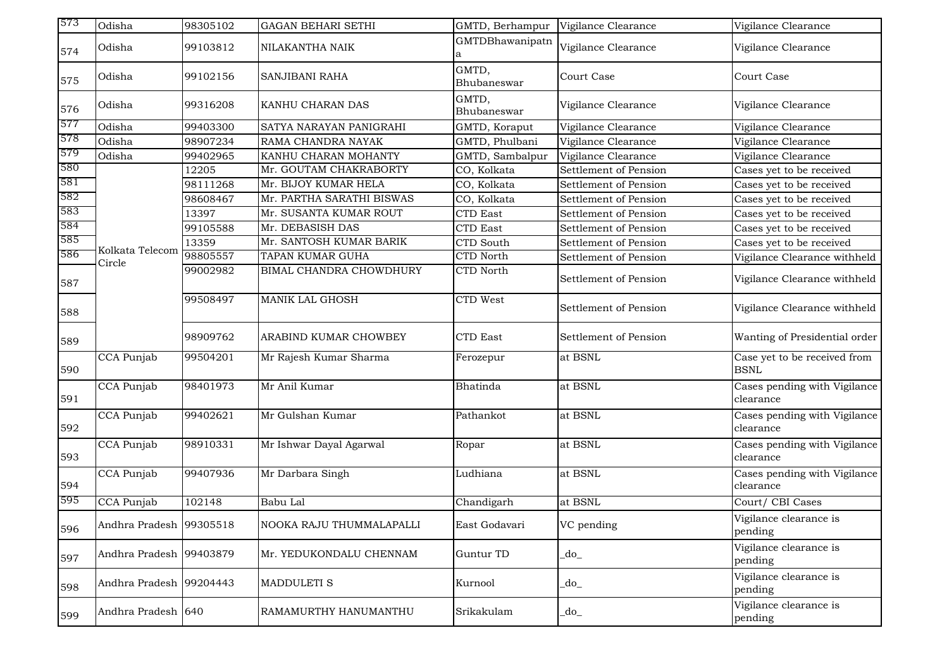| 573 | Odisha                    | 98305102 | <b>GAGAN BEHARI SETHI</b> | GMTD, Berhampur      | Vigilance Clearance   | Vigilance Clearance                         |
|-----|---------------------------|----------|---------------------------|----------------------|-----------------------|---------------------------------------------|
| 574 | Odisha                    | 99103812 | NILAKANTHA NAIK           | GMTDBhawanipatn<br>а | Vigilance Clearance   | Vigilance Clearance                         |
| 575 | Odisha                    | 99102156 | SANJIBANI RAHA            | GMTD,<br>Bhubaneswar | Court Case            | Court Case                                  |
| 576 | Odisha                    | 99316208 | KANHU CHARAN DAS          | GMTD,<br>Bhubaneswar | Vigilance Clearance   | Vigilance Clearance                         |
| 577 | Odisha                    | 99403300 | SATYA NARAYAN PANIGRAHI   | GMTD, Koraput        | Vigilance Clearance   | Vigilance Clearance                         |
| 578 | Odisha                    | 98907234 | RAMA CHANDRA NAYAK        | GMTD, Phulbani       | Vigilance Clearance   | Vigilance Clearance                         |
| 579 | Odisha                    | 99402965 | KANHU CHARAN MOHANTY      | GMTD, Sambalpur      | Vigilance Clearance   | Vigilance Clearance                         |
| 580 |                           | 12205    | Mr. GOUTAM CHAKRABORTY    | CO, Kolkata          | Settlement of Pension | Cases yet to be received                    |
| 581 |                           | 98111268 | Mr. BIJOY KUMAR HELA      | CO, Kolkata          | Settlement of Pension | Cases yet to be received                    |
| 582 |                           | 98608467 | Mr. PARTHA SARATHI BISWAS | CO, Kolkata          | Settlement of Pension | Cases yet to be received                    |
| 583 |                           | 13397    | Mr. SUSANTA KUMAR ROUT    | CTD East             | Settlement of Pension | Cases yet to be received                    |
| 584 |                           | 99105588 | Mr. DEBASISH DAS          | CTD East             | Settlement of Pension | Cases yet to be received                    |
| 585 |                           | 13359    | Mr. SANTOSH KUMAR BARIK   | CTD South            | Settlement of Pension | Cases yet to be received                    |
| 586 | Kolkata Telecom<br>Circle | 98805557 | TAPAN KUMAR GUHA          | CTD North            | Settlement of Pension | Vigilance Clearance withheld                |
| 587 |                           | 99002982 | BIMAL CHANDRA CHOWDHURY   | CTD North            | Settlement of Pension | Vigilance Clearance withheld                |
| 588 |                           | 99508497 | <b>MANIK LAL GHOSH</b>    | CTD West             | Settlement of Pension | Vigilance Clearance withheld                |
| 589 |                           | 98909762 | ARABIND KUMAR CHOWBEY     | <b>CTD</b> East      | Settlement of Pension | Wanting of Presidential order               |
| 590 | CCA Punjab                | 99504201 | Mr Rajesh Kumar Sharma    | Ferozepur            | at BSNL               | Case yet to be received from<br><b>BSNL</b> |
| 591 | CCA Punjab                | 98401973 | Mr Anil Kumar             | Bhatinda             | at BSNL               | Cases pending with Vigilance<br>clearance   |
| 592 | CCA Punjab                | 99402621 | Mr Gulshan Kumar          | Pathankot            | at BSNL               | Cases pending with Vigilance<br>clearance   |
| 593 | <b>CCA</b> Punjab         | 98910331 | Mr Ishwar Dayal Agarwal   | Ropar                | at BSNL               | Cases pending with Vigilance<br>clearance   |
| 594 | CCA Punjab                | 99407936 | Mr Darbara Singh          | Ludhiana             | at BSNL               | Cases pending with Vigilance<br>clearance   |
| 595 | <b>CCA</b> Punjab         | 102148   | Babu Lal                  | Chandigarh           | at BSNL               | Court/ CBI Cases                            |
| 596 | Andhra Pradesh 99305518   |          | NOOKA RAJU THUMMALAPALLI  | East Godavari        | VC pending            | Vigilance clearance is<br>pending           |
| 597 | Andhra Pradesh 99403879   |          | Mr. YEDUKONDALU CHENNAM   | Guntur TD            | _do_                  | Vigilance clearance is<br>pending           |
| 598 | Andhra Pradesh 99204443   |          | <b>MADDULETI S</b>        | Kurnool              | $d$ o $_{-}$          | Vigilance clearance is<br>pending           |
| 599 | Andhra Pradesh 640        |          | RAMAMURTHY HANUMANTHU     | Srikakulam           | $d$ o $_{-}$          | Vigilance clearance is<br>pending           |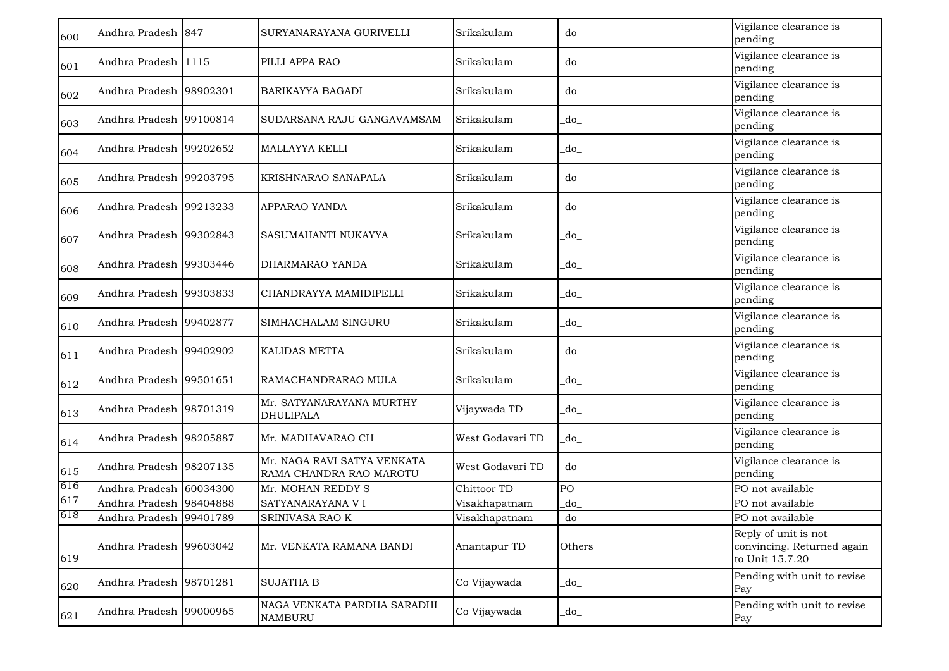| 600 | Andhra Pradesh 847      |          | SURYANARAYANA GURIVELLI                                | Srikakulam       | do                     | Vigilance clearance is<br>pending                                     |
|-----|-------------------------|----------|--------------------------------------------------------|------------------|------------------------|-----------------------------------------------------------------------|
| 601 | Andhra Pradesh 1115     |          | PILLI APPA RAO                                         | Srikakulam       | _do_                   | Vigilance clearance is<br>pending                                     |
| 602 | Andhra Pradesh 98902301 |          | BARIKAYYA BAGADI                                       | Srikakulam       | _do_                   | Vigilance clearance is<br>pending                                     |
| 603 | Andhra Pradesh 99100814 |          | SUDARSANA RAJU GANGAVAMSAM                             | Srikakulam       | do                     | Vigilance clearance is<br>pending                                     |
| 604 | Andhra Pradesh 99202652 |          | <b>MALLAYYA KELLI</b>                                  | Srikakulam       | _do_                   | Vigilance clearance is<br>pending                                     |
| 605 | Andhra Pradesh 99203795 |          | KRISHNARAO SANAPALA                                    | Srikakulam       | _do_                   | Vigilance clearance is<br>pending                                     |
| 606 | Andhra Pradesh 99213233 |          | APPARAO YANDA                                          | Srikakulam       | $d$ o $_{-}$           | Vigilance clearance is<br>pending                                     |
| 607 | Andhra Pradesh 99302843 |          | SASUMAHANTI NUKAYYA                                    | Srikakulam       | _do_                   | Vigilance clearance is<br>pending                                     |
| 608 | Andhra Pradesh 99303446 |          | DHARMARAO YANDA                                        | Srikakulam       | _do_                   | Vigilance clearance is<br>pending                                     |
| 609 | Andhra Pradesh 99303833 |          | CHANDRAYYA MAMIDIPELLI                                 | Srikakulam       | _do_                   | Vigilance clearance is<br>pending                                     |
| 610 | Andhra Pradesh 99402877 |          | SIMHACHALAM SINGURU                                    | Srikakulam       | _do_                   | Vigilance clearance is<br>pending                                     |
| 611 | Andhra Pradesh 99402902 |          | KALIDAS METTA                                          | Srikakulam       | _do_                   | Vigilance clearance is<br>pending                                     |
| 612 | Andhra Pradesh 99501651 |          | RAMACHANDRARAO MULA                                    | Srikakulam       | _do_                   | Vigilance clearance is<br>pending                                     |
| 613 | Andhra Pradesh 98701319 |          | Mr. SATYANARAYANA MURTHY<br><b>DHULIPALA</b>           | Vijaywada TD     | $d$ o $_{-}$           | Vigilance clearance is<br>pending                                     |
| 614 | Andhra Pradesh 98205887 |          | Mr. MADHAVARAO CH                                      | West Godavari TD | $\overline{\text{do}}$ | Vigilance clearance is<br>pending                                     |
| 615 | Andhra Pradesh 98207135 |          | Mr. NAGA RAVI SATYA VENKATA<br>RAMA CHANDRA RAO MAROTU | West Godavari TD | _do_                   | Vigilance clearance is<br>pending                                     |
| 616 | Andhra Pradesh 60034300 |          | Mr. MOHAN REDDY S                                      | Chittoor TD      | PO                     | PO not available                                                      |
| 617 | Andhra Pradesh 98404888 |          | SATYANARAYANA VI                                       | Visakhapatnam    | _do                    | PO not available                                                      |
| 618 | Andhra Pradesh 99401789 |          | SRINIVASA RAO K                                        | Visakhapatnam    | _do                    | PO not available                                                      |
| 619 | Andhra Pradesh 99603042 |          | Mr. VENKATA RAMANA BANDI                               | Anantapur TD     | Others                 | Reply of unit is not<br>convincing. Returned again<br>to Unit 15.7.20 |
| 620 | Andhra Pradesh 98701281 |          | <b>SUJATHA B</b>                                       | Co Vijaywada     | _do_                   | Pending with unit to revise<br>Pay                                    |
| 621 | Andhra Pradesh          | 99000965 | NAGA VENKATA PARDHA SARADHI<br><b>NAMBURU</b>          | Co Vijaywada     | do                     | Pending with unit to revise<br>Pay                                    |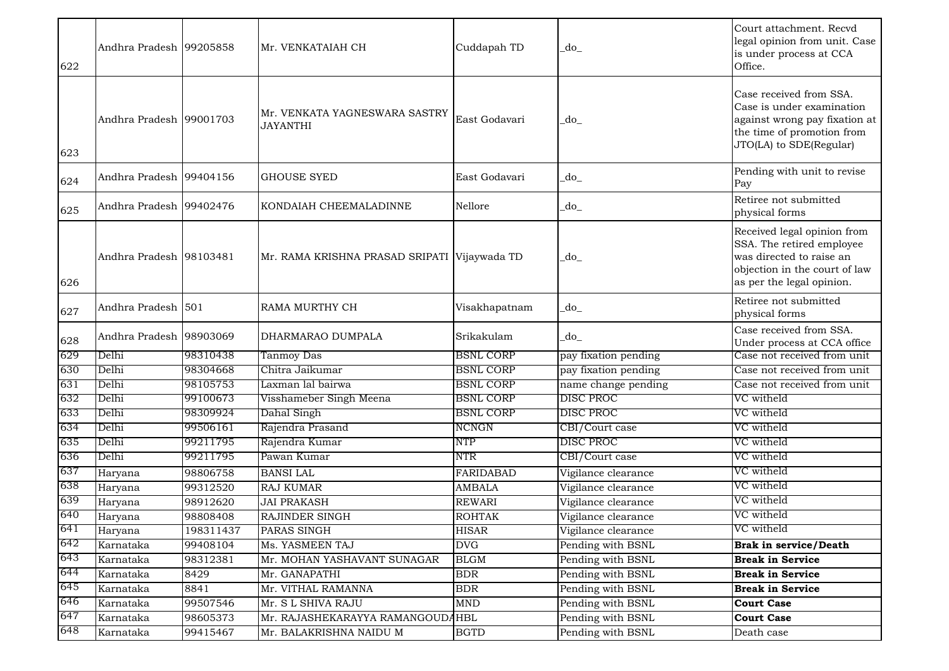| 622 | Andhra Pradesh 99205858 |           | Mr. VENKATAIAH CH                                | Cuddapah TD      | do                   | Court attachment. Recvd<br>legal opinion from unit. Case<br>is under process at CCA<br>Office.                                                     |
|-----|-------------------------|-----------|--------------------------------------------------|------------------|----------------------|----------------------------------------------------------------------------------------------------------------------------------------------------|
| 623 | Andhra Pradesh 99001703 |           | Mr. VENKATA YAGNESWARA SASTRY<br><b>JAYANTHI</b> | East Godavari    | _do_                 | Case received from SSA.<br>Case is under examination<br>against wrong pay fixation at<br>the time of promotion from<br>JTO(LA) to SDE(Regular)     |
| 624 | Andhra Pradesh 99404156 |           | <b>GHOUSE SYED</b>                               | East Godavari    | _do_                 | Pending with unit to revise<br>Pay                                                                                                                 |
| 625 | Andhra Pradesh 99402476 |           | KONDAIAH CHEEMALADINNE                           | Nellore          | _do_                 | Retiree not submitted<br>physical forms                                                                                                            |
| 626 | Andhra Pradesh 98103481 |           | Mr. RAMA KRISHNA PRASAD SRIPATI Vijaywada TD     |                  | do                   | Received legal opinion from<br>SSA. The retired employee<br>was directed to raise an<br>objection in the court of law<br>as per the legal opinion. |
| 627 | Andhra Pradesh 501      |           | RAMA MURTHY CH                                   | Visakhapatnam    | do                   | Retiree not submitted<br>physical forms                                                                                                            |
| 628 | Andhra Pradesh 98903069 |           | DHARMARAO DUMPALA                                | Srikakulam       | do                   | Case received from SSA.<br>Under process at CCA office                                                                                             |
| 629 | Delhi                   | 98310438  | Tanmoy Das                                       | <b>BSNL CORP</b> | pay fixation pending | Case not received from unit                                                                                                                        |
| 630 | Delhi                   | 98304668  | Chitra Jaikumar                                  | <b>BSNL CORP</b> | pay fixation pending | Case not received from unit                                                                                                                        |
| 631 | Delhi                   | 98105753  | Laxman lal bairwa                                | <b>BSNL CORP</b> | name change pending  | Case not received from unit                                                                                                                        |
| 632 | Delhi                   | 99100673  | Visshameber Singh Meena                          | <b>BSNL CORP</b> | DISC PROC            | VC witheld                                                                                                                                         |
| 633 | Delhi                   | 98309924  | Dahal Singh                                      | <b>BSNL CORP</b> | DISC PROC            | VC witheld                                                                                                                                         |
| 634 | Delhi                   | 99506161  | Rajendra Prasand                                 | <b>NCNGN</b>     | CBI/Court case       | VC witheld                                                                                                                                         |
| 635 | Delhi                   | 99211795  | Rajendra Kumar                                   | <b>NTP</b>       | <b>DISC PROC</b>     | VC witheld                                                                                                                                         |
| 636 | Delhi                   | 99211795  | Pawan Kumar                                      | NTR              | CBI/Court case       | VC witheld                                                                                                                                         |
| 637 | Haryana                 | 98806758  | <b>BANSI LAL</b>                                 | <b>FARIDABAD</b> | Vigilance clearance  | VC witheld                                                                                                                                         |
| 638 | Haryana                 | 99312520  | <b>RAJ KUMAR</b>                                 | <b>AMBALA</b>    | Vigilance clearance  | VC witheld                                                                                                                                         |
| 639 | Haryana                 | 98912620  | <b>JAI PRAKASH</b>                               | <b>REWARI</b>    | Vigilance clearance  | VC witheld                                                                                                                                         |
| 640 | Haryana                 | 98808408  | RAJINDER SINGH                                   | <b>ROHTAK</b>    | Vigilance clearance  | VC witheld                                                                                                                                         |
| 641 | Haryana                 | 198311437 | PARAS SINGH                                      | <b>HISAR</b>     | Vigilance clearance  | VC witheld                                                                                                                                         |
| 642 | Karnataka               | 99408104  | Ms. YASMEEN TAJ                                  | <b>DVG</b>       | Pending with BSNL    | <b>Brak in service/Death</b>                                                                                                                       |
| 643 | Karnataka               | 98312381  | Mr. MOHAN YASHAVANT SUNAGAR                      | <b>BLGM</b>      | Pending with BSNL    | <b>Break in Service</b>                                                                                                                            |
| 644 | Karnataka               | 8429      | Mr. GANAPATHI                                    | <b>BDR</b>       | Pending with BSNL    | <b>Break in Service</b>                                                                                                                            |
| 645 | Karnataka               | 8841      | Mr. VITHAL RAMANNA                               | <b>BDR</b>       | Pending with BSNL    | <b>Break in Service</b>                                                                                                                            |
| 646 | Karnataka               | 99507546  | Mr. S L SHIVA RAJU                               | <b>MND</b>       | Pending with BSNL    | <b>Court Case</b>                                                                                                                                  |
| 647 | Karnataka               | 98605373  | Mr. RAJASHEKARAYYA RAMANGOUD                     | $A$ HBL          | Pending with BSNL    | <b>Court Case</b>                                                                                                                                  |
| 648 | Karnataka               | 99415467  | Mr. BALAKRISHNA NAIDU M                          | <b>BGTD</b>      | Pending with BSNL    | Death case                                                                                                                                         |